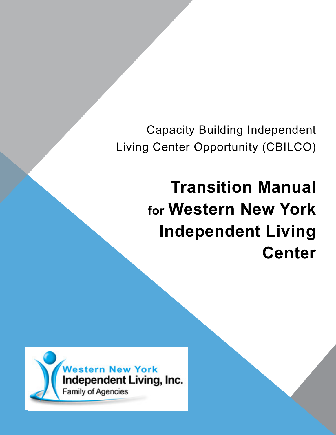Capacity Building Independent Living Center Opportunity (CBILCO)

# **Transition Manual for Western New York Independent Living Center**

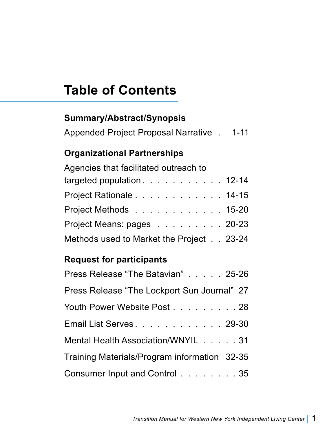## **Table of Contents**

## **Summary/Abstract/Synopsis**  Appended Project Proposal Narrative . 1-11 **Organizational Partnerships** Agencies that facilitated outreach to targeted population . . . . . . . . . . . 12-14 Project Rationale . . . . . . . . . . . . 14-15 Project Methods . . . . . . . . . . . . 15-20 Project Means: pages . . . . . . . . . 20-23 Methods used to Market the Project . . 23-24

#### **Request for participants**

| Press Release "The Batavian" 25-26           |
|----------------------------------------------|
| Press Release "The Lockport Sun Journal" 27  |
| Youth Power Website Post 28                  |
| Email List Serves. 29-30                     |
| Mental Health Association/WNYIL 31           |
| Training Materials/Program information 32-35 |
| Consumer Input and Control 35                |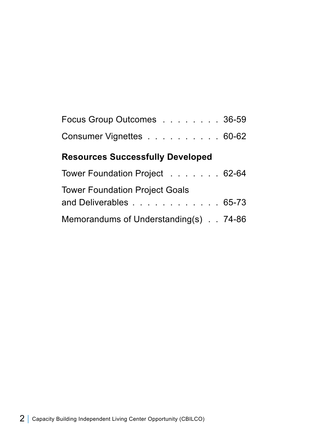| Focus Group Outcomes 36-59 |  |  |  |  |  |
|----------------------------|--|--|--|--|--|
| Consumer Vignettes 60-62   |  |  |  |  |  |

## **Resources Successfully Developed**

| Tower Foundation Project 62-64        |  |
|---------------------------------------|--|
| <b>Tower Foundation Project Goals</b> |  |
| and Deliverables 65-73                |  |
| Memorandums of Understanding(s) 74-86 |  |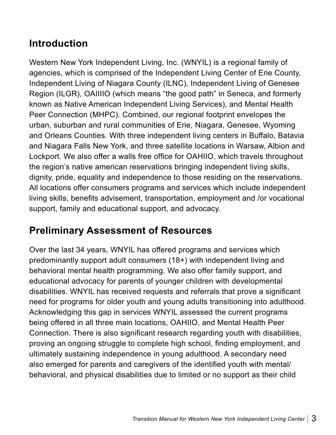## **Introduction**

Western New York Independent Living, Inc. (WNYIL) is a regional family of agencies, which is comprised of the Independent Living Center of Erie County, Independent Living of Niagara County (ILNC), Independent Living of Genesee Region (ILGR), OAIIIIO (which means "the good path" in Seneca, and formerly known as Native American Independent Living Services), and Mental Health Peer Connection (MHPC). Combined, our regional footprint envelopes the urban, suburban and rural communities of Erie, Niagara, Genesee, Wyoming and Orleans Counties. With three independent living centers in Buffalo, Batavia and Niagara Falls New York, and three satellite locations in Warsaw, Albion and Lockport. We also offer a walls free office for OAHIIO, which travels throughout the region's native american reservations bringing independent living skills, dignity, pride, equality and independence to those residing on the reservations. All locations offer consumers programs and services which include independent living skills, benefits advisement, transportation, employment and /or vocational support, family and educational support, and advocacy.

## **Preliminary Assessment of Resources**

Over the last 34 years, WNYIL has offered programs and services which predominantly support adult consumers (18+) with independent living and behavioral mental health programming. We also offer family support, and educational advocacy for parents of younger children with developmental disabilities. WNYIL has received requests and referrals that prove a significant need for programs for older youth and young adults transitioning into adulthood. Acknowledging this gap in services WNYIL assessed the current programs being offered in all three main locations, OAHIIO, and Mental Health Peer Connection. There is also significant research regarding youth with disabilities, proving an ongoing struggle to complete high school, finding employment, and ultimately sustaining independence in young adulthood. A secondary need also emerged for parents and caregivers of the identified youth with mental/ behavioral, and physical disabilities due to limited or no support as their child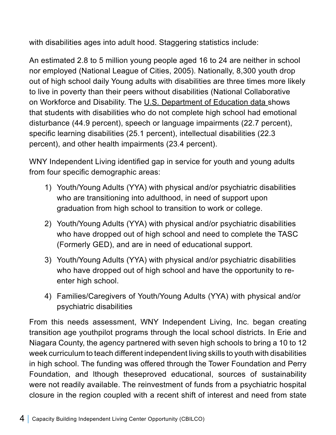with disabilities ages into adult hood. Staggering statistics include:

An estimated 2.8 to 5 million young people aged 16 to 24 are neither in school nor employed (National League of Cities, 2005). Nationally, 8,300 youth drop out of high school daily Young adults with disabilities are three times more likely to live in poverty than their peers without disabilities (National Collaborative on Workforce and Disability. The U.S. Department of Education data shows that students with disabilities who do not complete high school had emotional disturbance (44.9 percent), speech or language impairments (22.7 percent), specific learning disabilities (25.1 percent), intellectual disabilities (22.3 percent), and other health impairments (23.4 percent).

WNY Independent Living identified gap in service for youth and young adults from four specific demographic areas:

- 1) Youth/Young Adults (YYA) with physical and/or psychiatric disabilities who are transitioning into adulthood, in need of support upon graduation from high school to transition to work or college.
- 2) Youth/Young Adults (YYA) with physical and/or psychiatric disabilities who have dropped out of high school and need to complete the TASC (Formerly GED), and are in need of educational support.
- 3) Youth/Young Adults (YYA) with physical and/or psychiatric disabilities who have dropped out of high school and have the opportunity to reenter high school.
- 4) Families/Caregivers of Youth/Young Adults (YYA) with physical and/or psychiatric disabilities

From this needs assessment, WNY Independent Living, Inc. began creating transition age youthpilot programs through the local school districts. In Erie and Niagara County, the agency partnered with seven high schools to bring a 10 to 12 week curriculum to teach different independent living skills to youth with disabilities in high school. The funding was offered through the Tower Foundation and Perry Foundation, and lthough theseproved educational, sources of sustainability were not readily available. The reinvestment of funds from a psychiatric hospital closure in the region coupled with a recent shift of interest and need from state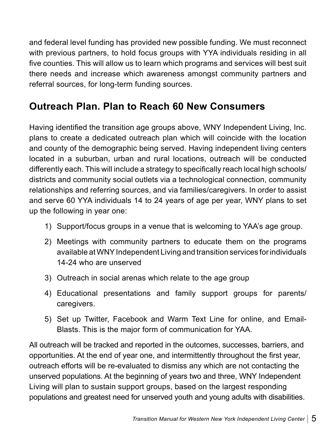and federal level funding has provided new possible funding. We must reconnect with previous partners, to hold focus groups with YYA individuals residing in all five counties. This will allow us to learn which programs and services will best suit there needs and increase which awareness amongst community partners and referral sources, for long-term funding sources.

## **Outreach Plan. Plan to Reach 60 New Consumers**

Having identified the transition age groups above, WNY Independent Living, Inc. plans to create a dedicated outreach plan which will coincide with the location and county of the demographic being served. Having independent living centers located in a suburban, urban and rural locations, outreach will be conducted differently each. This will include a strategy to specifically reach local high schools/ districts and community social outlets via a technological connection, community relationships and referring sources, and via families/caregivers. In order to assist and serve 60 YYA individuals 14 to 24 years of age per year, WNY plans to set up the following in year one:

- 1) Support/focus groups in a venue that is welcoming to YAA's age group.
- 2) Meetings with community partners to educate them on the programs available at WNY Independent Living and transition services for individuals 14-24 who are unserved
- 3) Outreach in social arenas which relate to the age group
- 4) Educational presentations and family support groups for parents/ caregivers.
- 5) Set up Twitter, Facebook and Warm Text Line for online, and Email-Blasts. This is the major form of communication for YAA.

All outreach will be tracked and reported in the outcomes, successes, barriers, and opportunities. At the end of year one, and intermittently throughout the first year, outreach efforts will be re-evaluated to dismiss any which are not contacting the unserved populations. At the beginning of years two and three, WNY Independent Living will plan to sustain support groups, based on the largest responding populations and greatest need for unserved youth and young adults with disabilities.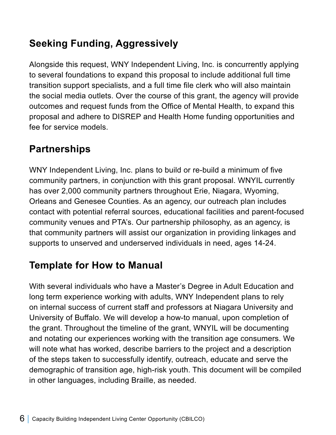## **Seeking Funding, Aggressively**

Alongside this request, WNY Independent Living, Inc. is concurrently applying to several foundations to expand this proposal to include additional full time transition support specialists, and a full time file clerk who will also maintain the social media outlets. Over the course of this grant, the agency will provide outcomes and request funds from the Office of Mental Health, to expand this proposal and adhere to DISREP and Health Home funding opportunities and fee for service models.

## **Partnerships**

WNY Independent Living, Inc. plans to build or re-build a minimum of five community partners, in conjunction with this grant proposal. WNYIL currently has over 2,000 community partners throughout Erie, Niagara, Wyoming, Orleans and Genesee Counties. As an agency, our outreach plan includes contact with potential referral sources, educational facilities and parent-focused community venues and PTA's. Our partnership philosophy, as an agency, is that community partners will assist our organization in providing linkages and supports to unserved and underserved individuals in need, ages 14-24.

## **Template for How to Manual**

With several individuals who have a Master's Degree in Adult Education and long term experience working with adults, WNY Independent plans to rely on internal success of current staff and professors at Niagara University and University of Buffalo. We will develop a how-to manual, upon completion of the grant. Throughout the timeline of the grant, WNYIL will be documenting and notating our experiences working with the transition age consumers. We will note what has worked, describe barriers to the project and a description of the steps taken to successfully identify, outreach, educate and serve the demographic of transition age, high-risk youth. This document will be compiled in other languages, including Braille, as needed.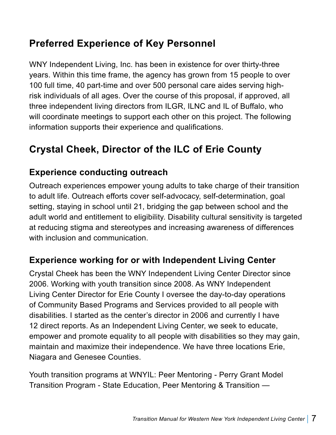## **Preferred Experience of Key Personnel**

WNY Independent Living, Inc. has been in existence for over thirty-three years. Within this time frame, the agency has grown from 15 people to over 100 full time, 40 part-time and over 500 personal care aides serving highrisk individuals of all ages. Over the course of this proposal, if approved, all three independent living directors from ILGR, ILNC and IL of Buffalo, who will coordinate meetings to support each other on this project. The following information supports their experience and qualifications.

## **Crystal Cheek, Director of the ILC of Erie County**

#### **Experience conducting outreach**

Outreach experiences empower young adults to take charge of their transition to adult life. Outreach efforts cover self-advocacy, self-determination, goal setting, staying in school until 21, bridging the gap between school and the adult world and entitlement to eligibility. Disability cultural sensitivity is targeted at reducing stigma and stereotypes and increasing awareness of differences with inclusion and communication.

#### **Experience working for or with Independent Living Center**

Crystal Cheek has been the WNY Independent Living Center Director since 2006. Working with youth transition since 2008. As WNY Independent Living Center Director for Erie County I oversee the day-to-day operations of Community Based Programs and Services provided to all people with disabilities. I started as the center's director in 2006 and currently I have 12 direct reports. As an Independent Living Center, we seek to educate, empower and promote equality to all people with disabilities so they may gain, maintain and maximize their independence. We have three locations Erie, Niagara and Genesee Counties.

Youth transition programs at WNYIL: Peer Mentoring - Perry Grant Model Transition Program - State Education, Peer Mentoring & Transition —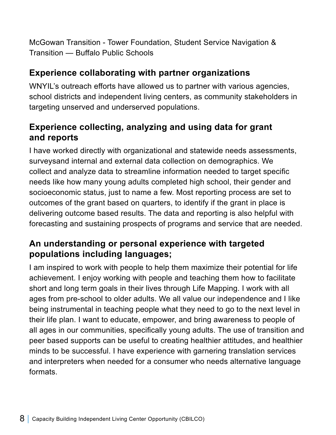McGowan Transition - Tower Foundation, Student Service Navigation & Transition — Buffalo Public Schools

#### **Experience collaborating with partner organizations**

WNYIL's outreach efforts have allowed us to partner with various agencies, school districts and independent living centers, as community stakeholders in targeting unserved and underserved populations.

#### **Experience collecting, analyzing and using data for grant and reports**

I have worked directly with organizational and statewide needs assessments, surveysand internal and external data collection on demographics. We collect and analyze data to streamline information needed to target specific needs like how many young adults completed high school, their gender and socioeconomic status, just to name a few. Most reporting process are set to outcomes of the grant based on quarters, to identify if the grant in place is delivering outcome based results. The data and reporting is also helpful with forecasting and sustaining prospects of programs and service that are needed.

#### **An understanding or personal experience with targeted populations including languages;**

I am inspired to work with people to help them maximize their potential for life achievement. I enjoy working with people and teaching them how to facilitate short and long term goals in their lives through Life Mapping. I work with all ages from pre-school to older adults. We all value our independence and I like being instrumental in teaching people what they need to go to the next level in their life plan. I want to educate, empower, and bring awareness to people of all ages in our communities, specifically young adults. The use of transition and peer based supports can be useful to creating healthier attitudes, and healthier minds to be successful. I have experience with garnering translation services and interpreters when needed for a consumer who needs alternative language formats.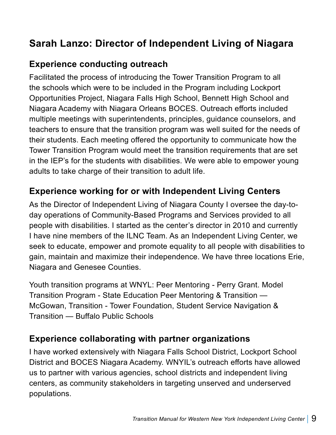## **Sarah Lanzo: Director of Independent Living of Niagara**

#### **Experience conducting outreach**

Facilitated the process of introducing the Tower Transition Program to all the schools which were to be included in the Program including Lockport Opportunities Project, Niagara Falls High School, Bennett High School and Niagara Academy with Niagara Orleans BOCES. Outreach efforts included multiple meetings with superintendents, principles, guidance counselors, and teachers to ensure that the transition program was well suited for the needs of their students. Each meeting offered the opportunity to communicate how the Tower Transition Program would meet the transition requirements that are set in the IEP's for the students with disabilities. We were able to empower young adults to take charge of their transition to adult life.

#### **Experience working for or with Independent Living Centers**

As the Director of Independent Living of Niagara County I oversee the day-today operations of Community-Based Programs and Services provided to all people with disabilities. I started as the center's director in 2010 and currently I have nine members of the ILNC Team. As an Independent Living Center, we seek to educate, empower and promote equality to all people with disabilities to gain, maintain and maximize their independence. We have three locations Erie, Niagara and Genesee Counties.

Youth transition programs at WNYL: Peer Mentoring - Perry Grant. Model Transition Program - State Education Peer Mentoring & Transition — McGowan, Transition - Tower Foundation, Student Service Navigation & Transition — Buffalo Public Schools

#### **Experience collaborating with partner organizations**

I have worked extensively with Niagara Falls School District, Lockport School District and BOCES Niagara Academy. WNYIL's outreach efforts have allowed us to partner with various agencies, school districts and independent living centers, as community stakeholders in targeting unserved and underserved populations.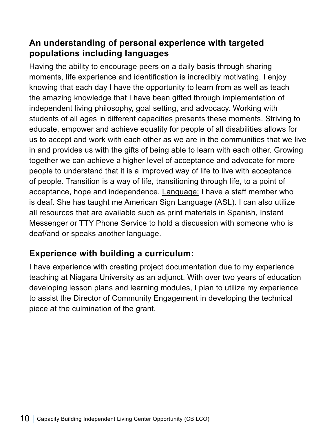#### **An understanding of personal experience with targeted populations including languages**

Having the ability to encourage peers on a daily basis through sharing moments, life experience and identification is incredibly motivating. I enjoy knowing that each day I have the opportunity to learn from as well as teach the amazing knowledge that I have been gifted through implementation of independent living philosophy, goal setting, and advocacy. Working with students of all ages in different capacities presents these moments. Striving to educate, empower and achieve equality for people of all disabilities allows for us to accept and work with each other as we are in the communities that we live in and provides us with the gifts of being able to learn with each other. Growing together we can achieve a higher level of acceptance and advocate for more people to understand that it is a improved way of life to live with acceptance of people. Transition is a way of life, transitioning through life, to a point of acceptance, hope and independence. Language: I have a staff member who is deaf. She has taught me American Sign Language (ASL). I can also utilize all resources that are available such as print materials in Spanish, Instant Messenger or TTY Phone Service to hold a discussion with someone who is deaf/and or speaks another language.

#### **Experience with building a curriculum:**

I have experience with creating project documentation due to my experience teaching at Niagara University as an adjunct. With over two years of education developing lesson plans and learning modules, I plan to utilize my experience to assist the Director of Community Engagement in developing the technical piece at the culmination of the grant.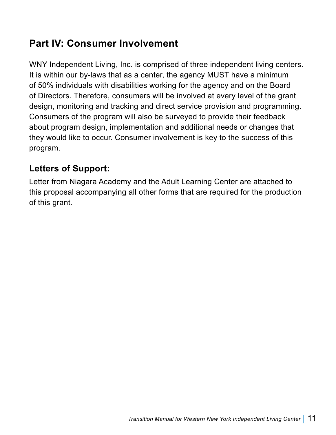## **Part IV: Consumer Involvement**

WNY Independent Living, Inc. is comprised of three independent living centers. It is within our by-laws that as a center, the agency MUST have a minimum of 50% individuals with disabilities working for the agency and on the Board of Directors. Therefore, consumers will be involved at every level of the grant design, monitoring and tracking and direct service provision and programming. Consumers of the program will also be surveyed to provide their feedback about program design, implementation and additional needs or changes that they would like to occur. Consumer involvement is key to the success of this program.

#### **Letters of Support:**

Letter from Niagara Academy and the Adult Learning Center are attached to this proposal accompanying all other forms that are required for the production of this grant.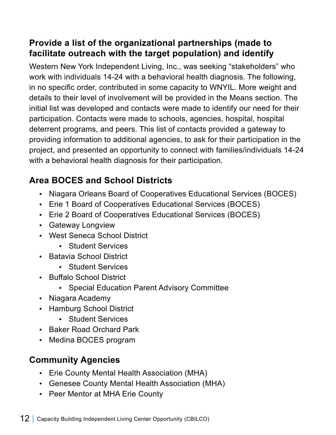#### **Provide a list of the organizational partnerships (made to facilitate outreach with the target population) and identify**

Western New York Independent Living, Inc., was seeking "stakeholders" who work with individuals 14-24 with a behavioral health diagnosis. The following, in no specific order, contributed in some capacity to WNYIL. More weight and details to their level of involvement will be provided in the Means section. The initial list was developed and contacts were made to identify our need for their participation. Contacts were made to schools, agencies, hospital, hospital deterrent programs, and peers. This list of contacts provided a gateway to providing information to additional agencies, to ask for their participation in the project, and presented an opportunity to connect with families/individuals 14-24 with a behavioral health diagnosis for their participation.

## **Area BOCES and School Districts**

- Niagara Orleans Board of Cooperatives Educational Services (BOCES)
- Erie 1 Board of Cooperatives Educational Services (BOCES)
- Erie 2 Board of Cooperatives Educational Services (BOCES)
- Gateway Longview
- West Seneca School District
	- Student Services
- Batavia School District
	- Student Services
- Buffalo School District
	- Special Education Parent Advisory Committee
- Niagara Academy
- Hamburg School District
	- Student Services
- Baker Road Orchard Park
- Medina BOCES program

## **Community Agencies**

- Erie County Mental Health Association (MHA)
- Genesee County Mental Health Association (MHA)
- Peer Mentor at MHA Erie County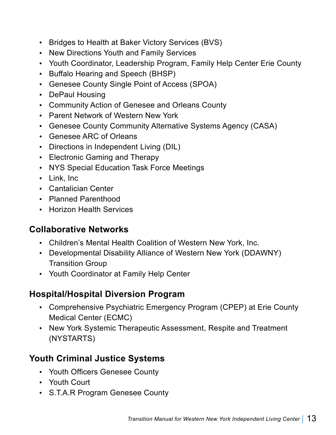- Bridges to Health at Baker Victory Services (BVS)
- New Directions Youth and Family Services
- Youth Coordinator, Leadership Program, Family Help Center Erie County
- Buffalo Hearing and Speech (BHSP)
- Genesee County Single Point of Access (SPOA)
- DePaul Housing
- Community Action of Genesee and Orleans County
- Parent Network of Western New York
- Genesee County Community Alternative Systems Agency (CASA)
- Genesee ARC of Orleans
- Directions in Independent Living (DIL)
- Electronic Gaming and Therapy
- NYS Special Education Task Force Meetings
- Link, Inc
- Cantalician Center
- Planned Parenthood
- Horizon Health Services

#### **Collaborative Networks**

- Children's Mental Health Coalition of Western New York, Inc.
- Developmental Disability Alliance of Western New York (DDAWNY) Transition Group
- Youth Coordinator at Family Help Center

#### **Hospital/Hospital Diversion Program**

- Comprehensive Psychiatric Emergency Program (CPEP) at Erie County Medical Center (ECMC)
- New York Systemic Therapeutic Assessment, Respite and Treatment (NYSTARTS)

#### **Youth Criminal Justice Systems**

- Youth Officers Genesee County
- Youth Court
- S.T.A.R Program Genesee County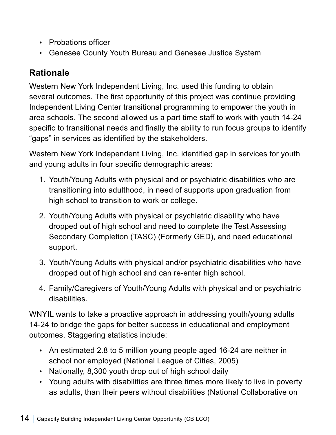- Probations officer
- Genesee County Youth Bureau and Genesee Justice System

#### **Rationale**

Western New York Independent Living, Inc. used this funding to obtain several outcomes. The first opportunity of this project was continue providing Independent Living Center transitional programming to empower the youth in area schools. The second allowed us a part time staff to work with youth 14-24 specific to transitional needs and finally the ability to run focus groups to identify "gaps" in services as identified by the stakeholders.

Western New York Independent Living, Inc. identified gap in services for youth and young adults in four specific demographic areas:

- 1. Youth/Young Adults with physical and or psychiatric disabilities who are transitioning into adulthood, in need of supports upon graduation from high school to transition to work or college.
- 2. Youth/Young Adults with physical or psychiatric disability who have dropped out of high school and need to complete the Test Assessing Secondary Completion (TASC) (Formerly GED), and need educational support.
- 3. Youth/Young Adults with physical and/or psychiatric disabilities who have dropped out of high school and can re-enter high school.
- 4. Family/Caregivers of Youth/Young Adults with physical and or psychiatric disabilities.

WNYIL wants to take a proactive approach in addressing youth/young adults 14-24 to bridge the gaps for better success in educational and employment outcomes. Staggering statistics include:

- An estimated 2.8 to 5 million young people aged 16-24 are neither in school nor employed (National League of Cities, 2005)
- Nationally, 8,300 youth drop out of high school daily
- Young adults with disabilities are three times more likely to live in poverty as adults, than their peers without disabilities (National Collaborative on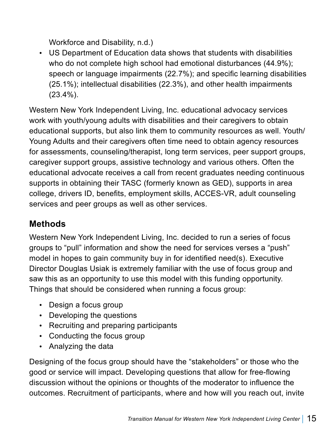Workforce and Disability, n.d.)

• US Department of Education data shows that students with disabilities who do not complete high school had emotional disturbances (44.9%); speech or language impairments (22.7%); and specific learning disabilities (25.1%); intellectual disabilities (22.3%), and other health impairments (23.4%).

Western New York Independent Living, Inc. educational advocacy services work with youth/young adults with disabilities and their caregivers to obtain educational supports, but also link them to community resources as well. Youth/ Young Adults and their caregivers often time need to obtain agency resources for assessments, counseling/therapist, long term services, peer support groups, caregiver support groups, assistive technology and various others. Often the educational advocate receives a call from recent graduates needing continuous supports in obtaining their TASC (formerly known as GED), supports in area college, drivers ID, benefits, employment skills, ACCES-VR, adult counseling services and peer groups as well as other services.

#### **Methods**

Western New York Independent Living, Inc. decided to run a series of focus groups to "pull" information and show the need for services verses a "push" model in hopes to gain community buy in for identified need(s). Executive Director Douglas Usiak is extremely familiar with the use of focus group and saw this as an opportunity to use this model with this funding opportunity. Things that should be considered when running a focus group:

- Design a focus group
- Developing the questions
- Recruiting and preparing participants
- Conducting the focus group
- Analyzing the data

Designing of the focus group should have the "stakeholders" or those who the good or service will impact. Developing questions that allow for free-flowing discussion without the opinions or thoughts of the moderator to influence the outcomes. Recruitment of participants, where and how will you reach out, invite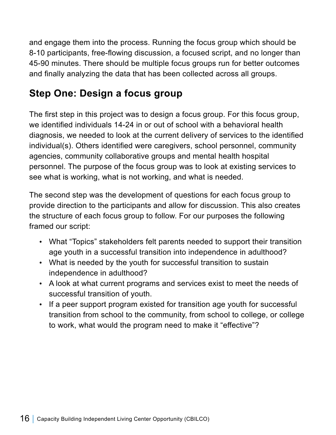and engage them into the process. Running the focus group which should be 8-10 participants, free-flowing discussion, a focused script, and no longer than 45-90 minutes. There should be multiple focus groups run for better outcomes and finally analyzing the data that has been collected across all groups.

## **Step One: Design a focus group**

The first step in this project was to design a focus group. For this focus group, we identified individuals 14-24 in or out of school with a behavioral health diagnosis, we needed to look at the current delivery of services to the identified individual(s). Others identified were caregivers, school personnel, community agencies, community collaborative groups and mental health hospital personnel. The purpose of the focus group was to look at existing services to see what is working, what is not working, and what is needed.

The second step was the development of questions for each focus group to provide direction to the participants and allow for discussion. This also creates the structure of each focus group to follow. For our purposes the following framed our script:

- What "Topics" stakeholders felt parents needed to support their transition age youth in a successful transition into independence in adulthood?
- What is needed by the youth for successful transition to sustain independence in adulthood?
- A look at what current programs and services exist to meet the needs of successful transition of youth.
- If a peer support program existed for transition age youth for successful transition from school to the community, from school to college, or college to work, what would the program need to make it "effective"?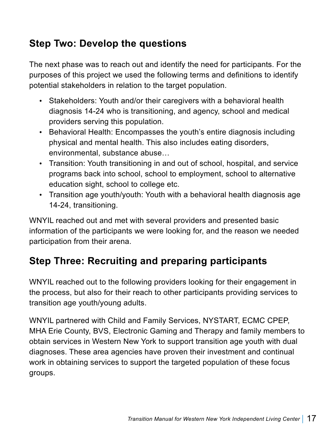## **Step Two: Develop the questions**

The next phase was to reach out and identify the need for participants. For the purposes of this project we used the following terms and definitions to identify potential stakeholders in relation to the target population.

- Stakeholders: Youth and/or their caregivers with a behavioral health diagnosis 14-24 who is transitioning, and agency, school and medical providers serving this population.
- Behavioral Health: Encompasses the youth's entire diagnosis including physical and mental health. This also includes eating disorders, environmental, substance abuse…
- Transition: Youth transitioning in and out of school, hospital, and service programs back into school, school to employment, school to alternative education sight, school to college etc.
- Transition age youth/youth: Youth with a behavioral health diagnosis age 14-24, transitioning.

WNYIL reached out and met with several providers and presented basic information of the participants we were looking for, and the reason we needed participation from their arena.

## **Step Three: Recruiting and preparing participants**

WNYIL reached out to the following providers looking for their engagement in the process, but also for their reach to other participants providing services to transition age youth/young adults.

WNYIL partnered with Child and Family Services, NYSTART, ECMC CPEP, MHA Erie County, BVS, Electronic Gaming and Therapy and family members to obtain services in Western New York to support transition age youth with dual diagnoses. These area agencies have proven their investment and continual work in obtaining services to support the targeted population of these focus groups.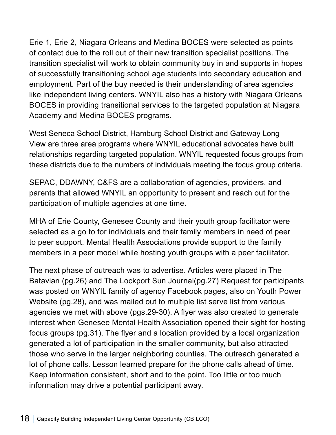Erie 1, Erie 2, Niagara Orleans and Medina BOCES were selected as points of contact due to the roll out of their new transition specialist positions. The transition specialist will work to obtain community buy in and supports in hopes of successfully transitioning school age students into secondary education and employment. Part of the buy needed is their understanding of area agencies like independent living centers. WNYIL also has a history with Niagara Orleans BOCES in providing transitional services to the targeted population at Niagara Academy and Medina BOCES programs.

West Seneca School District, Hamburg School District and Gateway Long View are three area programs where WNYIL educational advocates have built relationships regarding targeted population. WNYIL requested focus groups from these districts due to the numbers of individuals meeting the focus group criteria.

SEPAC, DDAWNY, C&FS are a collaboration of agencies, providers, and parents that allowed WNYIL an opportunity to present and reach out for the participation of multiple agencies at one time.

MHA of Erie County, Genesee County and their youth group facilitator were selected as a go to for individuals and their family members in need of peer to peer support. Mental Health Associations provide support to the family members in a peer model while hosting youth groups with a peer facilitator.

The next phase of outreach was to advertise. Articles were placed in The Batavian (pg.26) and The Lockport Sun Journal(pg.27) Request for participants was posted on WNYIL family of agency Facebook pages, also on Youth Power Website (pg.28), and was mailed out to multiple list serve list from various agencies we met with above (pgs.29-30). A flyer was also created to generate interest when Genesee Mental Health Association opened their sight for hosting focus groups (pg.31). The flyer and a location provided by a local organization generated a lot of participation in the smaller community, but also attracted those who serve in the larger neighboring counties. The outreach generated a lot of phone calls. Lesson learned prepare for the phone calls ahead of time. Keep information consistent, short and to the point. Too little or too much information may drive a potential participant away.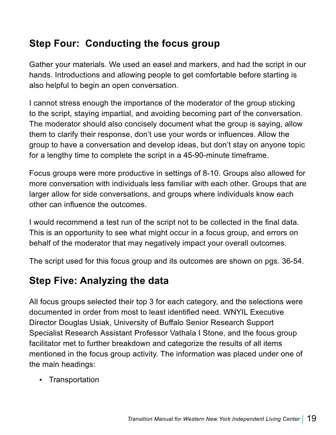## **Step Four: Conducting the focus group**

Gather your materials. We used an easel and markers, and had the script in our hands. Introductions and allowing people to get comfortable before starting is also helpful to begin an open conversation.

I cannot stress enough the importance of the moderator of the group sticking to the script, staying impartial, and avoiding becoming part of the conversation. The moderator should also concisely document what the group is saying, allow them to clarify their response, don't use your words or influences. Allow the group to have a conversation and develop ideas, but don't stay on anyone topic for a lengthy time to complete the script in a 45-90-minute timeframe.

Focus groups were more productive in settings of 8-10. Groups also allowed for more conversation with individuals less familiar with each other. Groups that are larger allow for side conversations, and groups where individuals know each other can influence the outcomes.

I would recommend a test run of the script not to be collected in the final data. This is an opportunity to see what might occur in a focus group, and errors on behalf of the moderator that may negatively impact your overall outcomes.

The script used for this focus group and its outcomes are shown on pgs. 36-54.

## **Step Five: Analyzing the data**

All focus groups selected their top 3 for each category, and the selections were documented in order from most to least identified need. WNYIL Executive Director Douglas Usiak, University of Buffalo Senior Research Support Specialist Research Assistant Professor Vathala I Stone, and the focus group facilitator met to further breakdown and categorize the results of all items mentioned in the focus group activity. The information was placed under one of the main headings:

• Transportation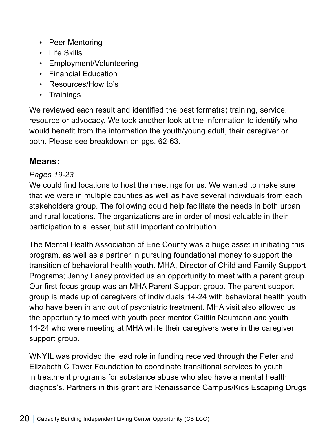- Peer Mentoring
- Life Skills
- Employment/Volunteering
- Financial Education
- Resources/How to's
- Trainings

We reviewed each result and identified the best format(s) training, service, resource or advocacy. We took another look at the information to identify who would benefit from the information the youth/young adult, their caregiver or both. Please see breakdown on pgs. 62-63.

#### **Means:**

#### *Pages 19-23*

We could find locations to host the meetings for us. We wanted to make sure that we were in multiple counties as well as have several individuals from each stakeholders group. The following could help facilitate the needs in both urban and rural locations. The organizations are in order of most valuable in their participation to a lesser, but still important contribution.

The Mental Health Association of Erie County was a huge asset in initiating this program, as well as a partner in pursuing foundational money to support the transition of behavioral health youth. MHA, Director of Child and Family Support Programs; Jenny Laney provided us an opportunity to meet with a parent group. Our first focus group was an MHA Parent Support group. The parent support group is made up of caregivers of individuals 14-24 with behavioral health youth who have been in and out of psychiatric treatment. MHA visit also allowed us the opportunity to meet with youth peer mentor Caitlin Neumann and youth 14-24 who were meeting at MHA while their caregivers were in the caregiver support group.

WNYIL was provided the lead role in funding received through the Peter and Elizabeth C Tower Foundation to coordinate transitional services to youth in treatment programs for substance abuse who also have a mental health diagnos's. Partners in this grant are Renaissance Campus/Kids Escaping Drugs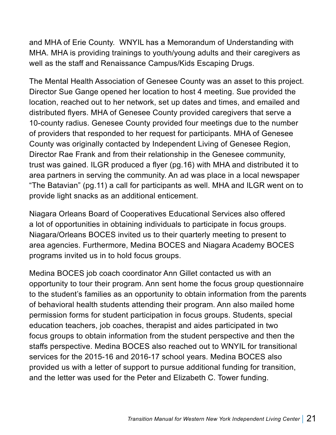and MHA of Erie County. WNYIL has a Memorandum of Understanding with MHA. MHA is providing trainings to youth/young adults and their caregivers as well as the staff and Renaissance Campus/Kids Escaping Drugs.

The Mental Health Association of Genesee County was an asset to this project. Director Sue Gange opened her location to host 4 meeting. Sue provided the location, reached out to her network, set up dates and times, and emailed and distributed flyers. MHA of Genesee County provided caregivers that serve a 10-county radius. Genesee County provided four meetings due to the number of providers that responded to her request for participants. MHA of Genesee County was originally contacted by Independent Living of Genesee Region, Director Rae Frank and from their relationship in the Genesee community, trust was gained. ILGR produced a flyer (pg.16) with MHA and distributed it to area partners in serving the community. An ad was place in a local newspaper "The Batavian" (pg.11) a call for participants as well. MHA and ILGR went on to provide light snacks as an additional enticement.

Niagara Orleans Board of Cooperatives Educational Services also offered a lot of opportunities in obtaining individuals to participate in focus groups. Niagara/Orleans BOCES invited us to their quarterly meeting to present to area agencies. Furthermore, Medina BOCES and Niagara Academy BOCES programs invited us in to hold focus groups.

Medina BOCES job coach coordinator Ann Gillet contacted us with an opportunity to tour their program. Ann sent home the focus group questionnaire to the student's families as an opportunity to obtain information from the parents of behavioral health students attending their program. Ann also mailed home permission forms for student participation in focus groups. Students, special education teachers, job coaches, therapist and aides participated in two focus groups to obtain information from the student perspective and then the staffs perspective. Medina BOCES also reached out to WNYIL for transitional services for the 2015-16 and 2016-17 school years. Medina BOCES also provided us with a letter of support to pursue additional funding for transition, and the letter was used for the Peter and Elizabeth C. Tower funding.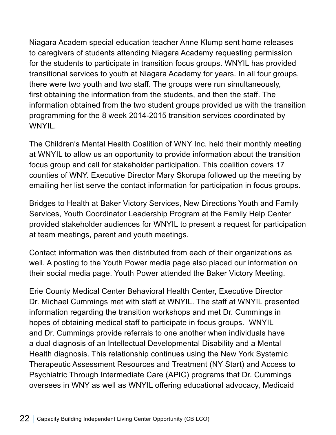Niagara Academ special education teacher Anne Klump sent home releases to caregivers of students attending Niagara Academy requesting permission for the students to participate in transition focus groups. WNYIL has provided transitional services to youth at Niagara Academy for years. In all four groups, there were two youth and two staff. The groups were run simultaneously, first obtaining the information from the students, and then the staff. The information obtained from the two student groups provided us with the transition programming for the 8 week 2014-2015 transition services coordinated by WNYIL.

The Children's Mental Health Coalition of WNY Inc. held their monthly meeting at WNYIL to allow us an opportunity to provide information about the transition focus group and call for stakeholder participation. This coalition covers 17 counties of WNY. Executive Director Mary Skorupa followed up the meeting by emailing her list serve the contact information for participation in focus groups.

Bridges to Health at Baker Victory Services, New Directions Youth and Family Services, Youth Coordinator Leadership Program at the Family Help Center provided stakeholder audiences for WNYIL to present a request for participation at team meetings, parent and youth meetings.

Contact information was then distributed from each of their organizations as well. A posting to the Youth Power media page also placed our information on their social media page. Youth Power attended the Baker Victory Meeting.

Erie County Medical Center Behavioral Health Center, Executive Director Dr. Michael Cummings met with staff at WNYIL. The staff at WNYIL presented information regarding the transition workshops and met Dr. Cummings in hopes of obtaining medical staff to participate in focus groups. WNYIL and Dr. Cummings provide referrals to one another when individuals have a dual diagnosis of an Intellectual Developmental Disability and a Mental Health diagnosis. This relationship continues using the New York Systemic Therapeutic Assessment Resources and Treatment (NY Start) and Access to Psychiatric Through Intermediate Care (APIC) programs that Dr. Cummings oversees in WNY as well as WNYIL offering educational advocacy, Medicaid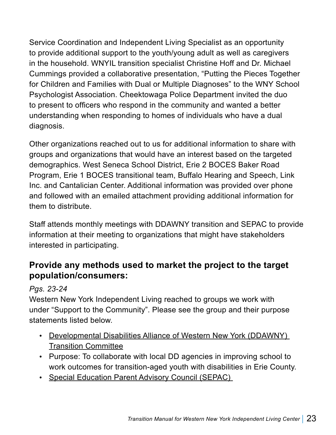Service Coordination and Independent Living Specialist as an opportunity to provide additional support to the youth/young adult as well as caregivers in the household. WNYIL transition specialist Christine Hoff and Dr. Michael Cummings provided a collaborative presentation, "Putting the Pieces Together for Children and Families with Dual or Multiple Diagnoses" to the WNY School Psychologist Association. Cheektowaga Police Department invited the duo to present to officers who respond in the community and wanted a better understanding when responding to homes of individuals who have a dual diagnosis.

Other organizations reached out to us for additional information to share with groups and organizations that would have an interest based on the targeted demographics. West Seneca School District, Erie 2 BOCES Baker Road Program, Erie 1 BOCES transitional team, Buffalo Hearing and Speech, Link Inc. and Cantalician Center. Additional information was provided over phone and followed with an emailed attachment providing additional information for them to distribute.

Staff attends monthly meetings with DDAWNY transition and SEPAC to provide information at their meeting to organizations that might have stakeholders interested in participating.

#### **Provide any methods used to market the project to the target population/consumers:**

#### *Pgs. 23-24*

Western New York Independent Living reached to groups we work with under "Support to the Community". Please see the group and their purpose statements listed below.

- Developmental Disabilities Alliance of Western New York (DDAWNY) Transition Committee
- Purpose: To collaborate with local DD agencies in improving school to work outcomes for transition-aged youth with disabilities in Erie County.
- Special Education Parent Advisory Council (SEPAC)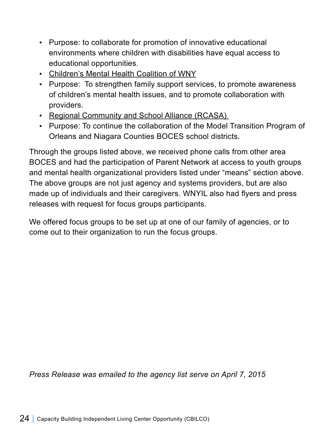- Purpose: to collaborate for promotion of innovative educational environments where children with disabilities have equal access to educational opportunities.
- Children's Mental Health Coalition of WNY
- Purpose: To strengthen family support services, to promote awareness of children's mental health issues, and to promote collaboration with providers.
- Regional Community and School Alliance (RCASA)
- Purpose: To continue the collaboration of the Model Transition Program of Orleans and Niagara Counties BOCES school districts.

Through the groups listed above, we received phone calls from other area BOCES and had the participation of Parent Network at access to youth groups and mental health organizational providers listed under "means" section above. The above groups are not just agency and systems providers, but are also made up of individuals and their caregivers. WNYIL also had flyers and press releases with request for focus groups participants.

We offered focus groups to be set up at one of our family of agencies, or to come out to their organization to run the focus groups.

*Press Release was emailed to the agency list serve on April 7, 2015*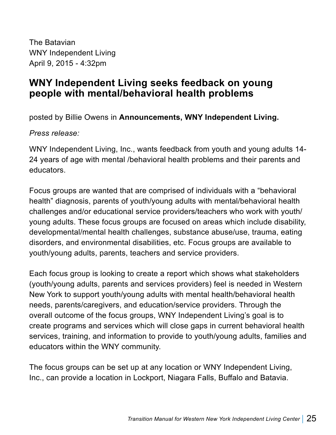The Batavian WNY Independent Living April 9, 2015 - 4:32pm

#### **WNY Independent Living seeks feedback on young people with mental/behavioral health problems**

posted by Billie Owens in **Announcements, WNY Independent Living.** 

*Press release:*

WNY Independent Living, Inc., wants feedback from youth and young adults 14- 24 years of age with mental /behavioral health problems and their parents and educators.

Focus groups are wanted that are comprised of individuals with a "behavioral health" diagnosis, parents of youth/young adults with mental/behavioral health challenges and/or educational service providers/teachers who work with youth/ young adults. These focus groups are focused on areas which include disability, developmental/mental health challenges, substance abuse/use, trauma, eating disorders, and environmental disabilities, etc. Focus groups are available to youth/young adults, parents, teachers and service providers.

Each focus group is looking to create a report which shows what stakeholders (youth/young adults, parents and services providers) feel is needed in Western New York to support youth/young adults with mental health/behavioral health needs, parents/caregivers, and education/service providers. Through the overall outcome of the focus groups, WNY Independent Living's goal is to create programs and services which will close gaps in current behavioral health services, training, and information to provide to youth/young adults, families and educators within the WNY community.

The focus groups can be set up at any location or WNY Independent Living, Inc., can provide a location in Lockport, Niagara Falls, Buffalo and Batavia.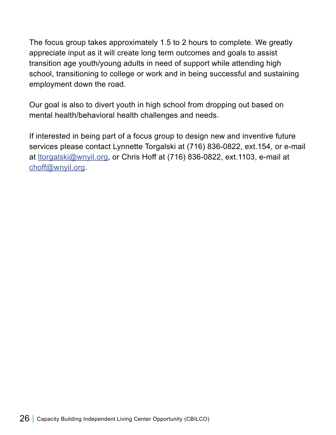The focus group takes approximately 1.5 to 2 hours to complete. We greatly appreciate input as it will create long term outcomes and goals to assist transition age youth/young adults in need of support while attending high school, transitioning to college or work and in being successful and sustaining employment down the road.

Our goal is also to divert youth in high school from dropping out based on mental health/behavioral health challenges and needs.

If interested in being part of a focus group to design new and inventive future services please contact Lynnette Torgalski at (716) 836-0822, ext.154, or e-mail at <u>Itorgalski@wnyil.org,</u> or Chris Hoff at (716) 836-0822, ext.1103, e-mail at choff@wnyil.org.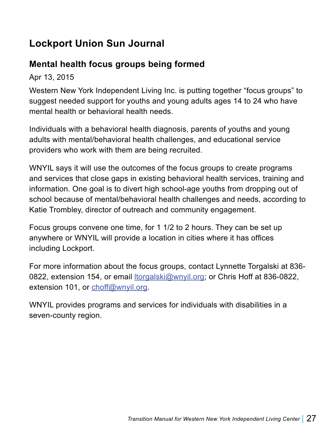## **Lockport Union Sun Journal**

#### **Mental health focus groups being formed**

Apr 13, 2015

Western New York Independent Living Inc. is putting together "focus groups" to suggest needed support for youths and young adults ages 14 to 24 who have mental health or behavioral health needs.

Individuals with a behavioral health diagnosis, parents of youths and young adults with mental/behavioral health challenges, and educational service providers who work with them are being recruited.

WNYIL says it will use the outcomes of the focus groups to create programs and services that close gaps in existing behavioral health services, training and information. One goal is to divert high school-age youths from dropping out of school because of mental/behavioral health challenges and needs, according to Katie Trombley, director of outreach and community engagement.

Focus groups convene one time, for 1 1/2 to 2 hours. They can be set up anywhere or WNYIL will provide a location in cities where it has offices including Lockport.

For more information about the focus groups, contact Lynnette Torgalski at 836- 0822, extension 154, or email **Itorgalski@wnyil.org**; or Chris Hoff at 836-0822, extension 101, or choff@wnyil.org.

WNYIL provides programs and services for individuals with disabilities in a seven-county region.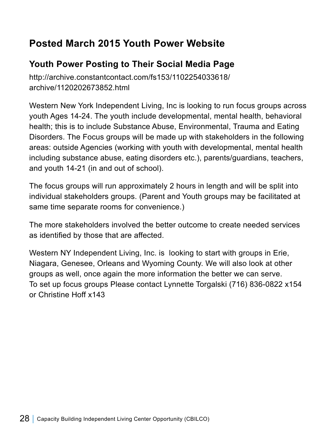## **Posted March 2015 Youth Power Website**

## **Youth Power Posting to Their Social Media Page**

http://archive.constantcontact.com/fs153/1102254033618/ archive/1120202673852.html

Western New York Independent Living, Inc is looking to run focus groups across youth Ages 14-24. The youth include developmental, mental health, behavioral health; this is to include Substance Abuse, Environmental, Trauma and Eating Disorders. The Focus groups will be made up with stakeholders in the following areas: outside Agencies (working with youth with developmental, mental health including substance abuse, eating disorders etc.), parents/guardians, teachers, and youth 14-21 (in and out of school).

The focus groups will run approximately 2 hours in length and will be split into individual stakeholders groups. (Parent and Youth groups may be facilitated at same time separate rooms for convenience.)

The more stakeholders involved the better outcome to create needed services as identified by those that are affected.

Western NY Independent Living, Inc. is looking to start with groups in Erie, Niagara, Genesee, Orleans and Wyoming County. We will also look at other groups as well, once again the more information the better we can serve. To set up focus groups Please contact Lynnette Torgalski (716) 836-0822 x154 or Christine Hoff x143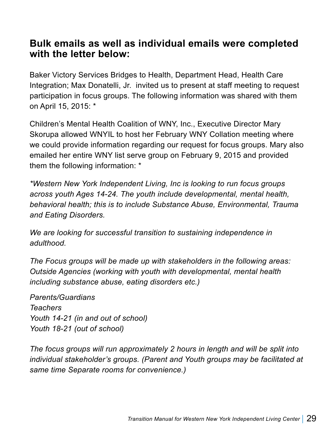#### **Bulk emails as well as individual emails were completed with the letter below:**

Baker Victory Services Bridges to Health, Department Head, Health Care Integration; Max Donatelli, Jr. invited us to present at staff meeting to request participation in focus groups. The following information was shared with them on April 15, 2015: \*

Children's Mental Health Coalition of WNY, Inc., Executive Director Mary Skorupa allowed WNYIL to host her February WNY Collation meeting where we could provide information regarding our request for focus groups. Mary also emailed her entire WNY list serve group on February 9, 2015 and provided them the following information: \*

*\*Western New York Independent Living, Inc is looking to run focus groups across youth Ages 14-24. The youth include developmental, mental health, behavioral health; this is to include Substance Abuse, Environmental, Trauma and Eating Disorders.* 

*We are looking for successful transition to sustaining independence in adulthood.*

*The Focus groups will be made up with stakeholders in the following areas: Outside Agencies (working with youth with developmental, mental health including substance abuse, eating disorders etc.)*

*Parents/Guardians Teachers Youth 14-21 (in and out of school) Youth 18-21 (out of school)*

*The focus groups will run approximately 2 hours in length and will be split into individual stakeholder's groups. (Parent and Youth groups may be facilitated at same time Separate rooms for convenience.)*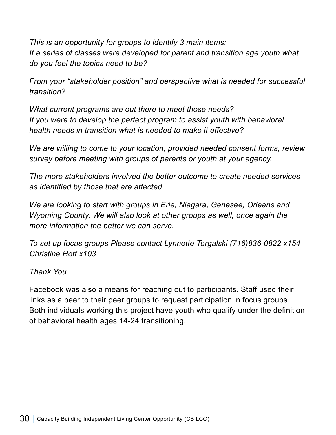*This is an opportunity for groups to identify 3 main items: If a series of classes were developed for parent and transition age youth what do you feel the topics need to be?* 

*From your "stakeholder position" and perspective what is needed for successful transition?*

*What current programs are out there to meet those needs? If you were to develop the perfect program to assist youth with behavioral health needs in transition what is needed to make it effective?* 

*We are willing to come to your location, provided needed consent forms, review survey before meeting with groups of parents or youth at your agency.* 

*The more stakeholders involved the better outcome to create needed services as identified by those that are affected.* 

*We are looking to start with groups in Erie, Niagara, Genesee, Orleans and Wyoming County. We will also look at other groups as well, once again the more information the better we can serve.*

*To set up focus groups Please contact Lynnette Torgalski (716)836-0822 x154 Christine Hoff x103*

*Thank You*

Facebook was also a means for reaching out to participants. Staff used their links as a peer to their peer groups to request participation in focus groups. Both individuals working this project have youth who qualify under the definition of behavioral health ages 14-24 transitioning.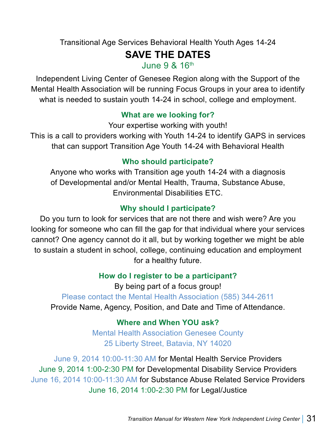Transitional Age Services Behavioral Health Youth Ages 14-24

#### **SAVE THE DATES**

June 9 & 16th

Independent Living Center of Genesee Region along with the Support of the Mental Health Association will be running Focus Groups in your area to identify what is needed to sustain youth 14-24 in school, college and employment.

#### **What are we looking for?**

Your expertise working with youth!

This is a call to providers working with Youth 14-24 to identify GAPS in services that can support Transition Age Youth 14-24 with Behavioral Health

#### **Who should participate?**

Anyone who works with Transition age youth 14-24 with a diagnosis of Developmental and/or Mental Health, Trauma, Substance Abuse, Environmental Disabilities ETC.

#### **Why should I participate?**

Do you turn to look for services that are not there and wish were? Are you looking for someone who can fill the gap for that individual where your services cannot? One agency cannot do it all, but by working together we might be able to sustain a student in school, college, continuing education and employment for a healthy future.

#### **How do I register to be a participant?**

By being part of a focus group! Please contact the Mental Health Association (585) 344-2611 Provide Name, Agency, Position, and Date and Time of Attendance.

#### **Where and When YOU ask?**

Mental Health Association Genesee County 25 Liberty Street, Batavia, NY 14020

June 9, 2014 10:00-11:30 AM for Mental Health Service Providers June 9, 2014 1:00-2:30 PM for Developmental Disability Service Providers June 16, 2014 10:00-11:30 AM for Substance Abuse Related Service Providers June 16, 2014 1:00-2:30 PM for Legal/Justice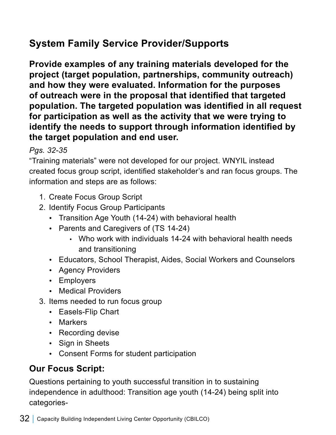## **System Family Service Provider/Supports**

**Provide examples of any training materials developed for the project (target population, partnerships, community outreach) and how they were evaluated. Information for the purposes of outreach were in the proposal that identified that targeted population. The targeted population was identified in all request for participation as well as the activity that we were trying to identify the needs to support through information identified by the target population and end user.** 

#### *Pgs. 32-35*

"Training materials" were not developed for our project. WNYIL instead created focus group script, identified stakeholder's and ran focus groups. The information and steps are as follows:

- 1. Create Focus Group Script
- 2. Identify Focus Group Participants
	- Transition Age Youth (14-24) with behavioral health
	- Parents and Caregivers of (TS 14-24)
		- Who work with individuals 14-24 with behavioral health needs and transitioning
	- Educators, School Therapist, Aides, Social Workers and Counselors
	- Agency Providers
	- Employers
	- Medical Providers
- 3. Items needed to run focus group
	- Easels-Flip Chart
	- Markers
	- Recording devise
	- Sign in Sheets
	- Consent Forms for student participation

## **Our Focus Script:**

Questions pertaining to youth successful transition in to sustaining independence in adulthood: Transition age youth (14-24) being split into categories-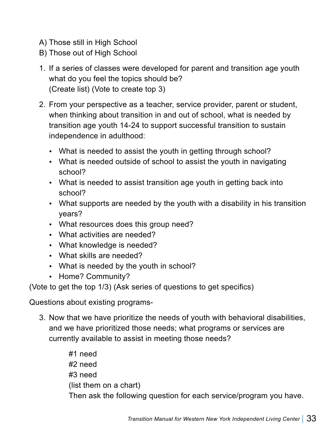- A) Those still in High School
- B) Those out of High School
- 1. If a series of classes were developed for parent and transition age youth what do you feel the topics should be? (Create list) (Vote to create top 3)
- 2. From your perspective as a teacher, service provider, parent or student, when thinking about transition in and out of school, what is needed by transition age youth 14-24 to support successful transition to sustain independence in adulthood:
	- What is needed to assist the youth in getting through school?
	- What is needed outside of school to assist the youth in navigating school?
	- What is needed to assist transition age youth in getting back into school?
	- What supports are needed by the youth with a disability in his transition years?
	- What resources does this group need?
	- What activities are needed?
	- What knowledge is needed?
	- What skills are needed?
	- What is needed by the youth in school?
	- Home? Community?

(Vote to get the top 1/3) (Ask series of questions to get specifics)

Questions about existing programs-

3. Now that we have prioritize the needs of youth with behavioral disabilities, and we have prioritized those needs; what programs or services are currently available to assist in meeting those needs?

> #1 need #2 need #3 need (list them on a chart) Then ask the following question for each service/program you have.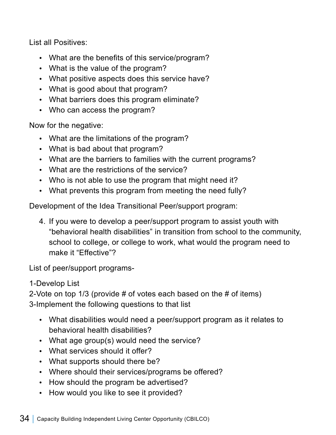List all Positives:

- What are the benefits of this service/program?
- What is the value of the program?
- What positive aspects does this service have?
- What is good about that program?
- What barriers does this program eliminate?
- Who can access the program?

Now for the negative:

- What are the limitations of the program?
- What is bad about that program?
- What are the barriers to families with the current programs?
- What are the restrictions of the service?
- Who is not able to use the program that might need it?
- What prevents this program from meeting the need fully?

Development of the Idea Transitional Peer/support program:

4. If you were to develop a peer/support program to assist youth with "behavioral health disabilities" in transition from school to the community, school to college, or college to work, what would the program need to make it "Effective"?

List of peer/support programs-

1-Develop List

2-Vote on top 1/3 (provide # of votes each based on the # of items) 3-Implement the following questions to that list

- What disabilities would need a peer/support program as it relates to behavioral health disabilities?
- What age group(s) would need the service?
- What services should it offer?
- What supports should there be?
- Where should their services/programs be offered?
- How should the program be advertised?
- How would you like to see it provided?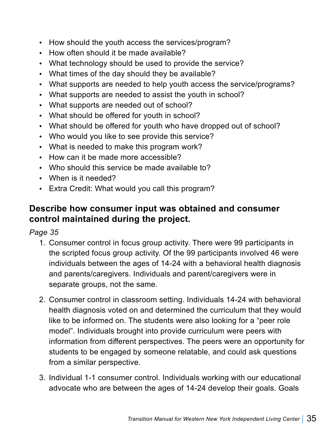- How should the youth access the services/program?
- How often should it be made available?
- What technology should be used to provide the service?
- What times of the day should they be available?
- What supports are needed to help youth access the service/programs?
- What supports are needed to assist the youth in school?
- What supports are needed out of school?
- What should be offered for youth in school?
- What should be offered for youth who have dropped out of school?
- Who would you like to see provide this service?
- What is needed to make this program work?
- How can it be made more accessible?
- Who should this service be made available to?
- When is it needed?
- Extra Credit: What would you call this program?

#### **Describe how consumer input was obtained and consumer control maintained during the project.**

*Page 35*

- 1. Consumer control in focus group activity. There were 99 participants in the scripted focus group activity. Of the 99 participants involved 46 were individuals between the ages of 14-24 with a behavioral health diagnosis and parents/caregivers. Individuals and parent/caregivers were in separate groups, not the same.
- 2. Consumer control in classroom setting. Individuals 14-24 with behavioral health diagnosis voted on and determined the curriculum that they would like to be informed on. The students were also looking for a "peer role model". Individuals brought into provide curriculum were peers with information from different perspectives. The peers were an opportunity for students to be engaged by someone relatable, and could ask questions from a similar perspective.
- 3. Individual 1-1 consumer control. Individuals working with our educational advocate who are between the ages of 14-24 develop their goals. Goals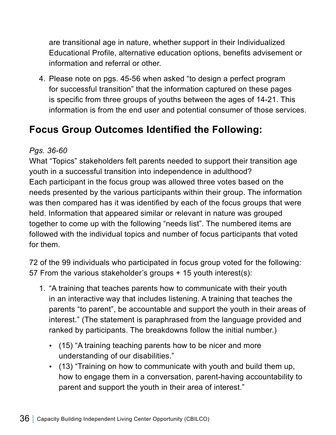are transitional age in nature, whether support in their Individualized Educational Profile, alternative education options, benefits advisement or information and referral or other.

4. Please note on pgs. 45-56 when asked "to design a perfect program for successful transition" that the information captured on these pages is specific from three groups of youths between the ages of 14-21. This information is from the end user and potential consumer of those services.

# **Focus Group Outcomes Identified the Following:**

#### *Pgs. 36-60*

What "Topics" stakeholders felt parents needed to support their transition age youth in a successful transition into independence in adulthood? Each participant in the focus group was allowed three votes based on the needs presented by the various participants within their group. The information was then compared has it was identified by each of the focus groups that were held. Information that appeared similar or relevant in nature was grouped together to come up with the following "needs list". The numbered items are followed with the individual topics and number of focus participants that voted for them.

72 of the 99 individuals who participated in focus group voted for the following: 57 From the various stakeholder's groups + 15 youth interest(s):

- 1. "A training that teaches parents how to communicate with their youth in an interactive way that includes listening. A training that teaches the parents "to parent", be accountable and support the youth in their areas of interest." (The statement is paraphrased from the language provided and ranked by participants. The breakdowns follow the initial number.)
	- $\cdot$  (15) "A training teaching parents how to be nicer and more understanding of our disabilities."
	- (13) "Training on how to communicate with youth and build them up, how to engage them in a conversation, parent-having accountability to parent and support the youth in their area of interest."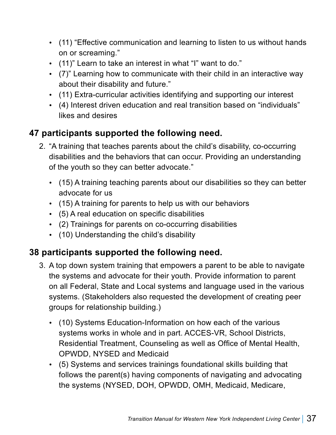- (11) "Effective communication and learning to listen to us without hands on or screaming."
- y (11)" Learn to take an interest in what "I" want to do."
- (7)" Learning how to communicate with their child in an interactive way about their disability and future."
- (11) Extra-curricular activities identifying and supporting our interest
- y (4) Interest driven education and real transition based on "individuals" likes and desires

### **47 participants supported the following need.**

- 2. "A training that teaches parents about the child's disability, co-occurring disabilities and the behaviors that can occur. Providing an understanding of the youth so they can better advocate."
	- (15) A training teaching parents about our disabilities so they can better advocate for us
	- $\cdot$  (15) A training for parents to help us with our behaviors
	- (5) A real education on specific disabilities
	- (2) Trainings for parents on co-occurring disabilities
	- (10) Understanding the child's disability

## **38 participants supported the following need.**

- 3. A top down system training that empowers a parent to be able to navigate the systems and advocate for their youth. Provide information to parent on all Federal, State and Local systems and language used in the various systems. (Stakeholders also requested the development of creating peer groups for relationship building.)
	- (10) Systems Education-Information on how each of the various systems works in whole and in part. ACCES-VR, School Districts, Residential Treatment, Counseling as well as Office of Mental Health, OPWDD, NYSED and Medicaid
	- (5) Systems and services trainings foundational skills building that follows the parent(s) having components of navigating and advocating the systems (NYSED, DOH, OPWDD, OMH, Medicaid, Medicare,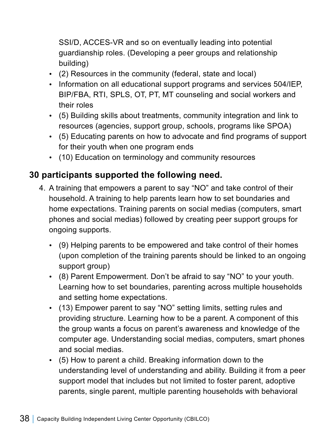SSI/D, ACCES-VR and so on eventually leading into potential guardianship roles. (Developing a peer groups and relationship building)

- (2) Resources in the community (federal, state and local)
- Information on all educational support programs and services 504/IEP, BIP/FBA, RTI, SPLS, OT, PT, MT counseling and social workers and their roles
- y (5) Building skills about treatments, community integration and link to resources (agencies, support group, schools, programs like SPOA)
- (5) Educating parents on how to advocate and find programs of support for their youth when one program ends
- (10) Education on terminology and community resources

## **30 participants supported the following need.**

- 4. A training that empowers a parent to say "NO" and take control of their household. A training to help parents learn how to set boundaries and home expectations. Training parents on social medias (computers, smart phones and social medias) followed by creating peer support groups for ongoing supports.
	- (9) Helping parents to be empowered and take control of their homes (upon completion of the training parents should be linked to an ongoing support group)
	- (8) Parent Empowerment. Don't be afraid to say "NO" to your youth. Learning how to set boundaries, parenting across multiple households and setting home expectations.
	- (13) Empower parent to say "NO" setting limits, setting rules and providing structure. Learning how to be a parent. A component of this the group wants a focus on parent's awareness and knowledge of the computer age. Understanding social medias, computers, smart phones and social medias.
	- $\cdot$  (5) How to parent a child. Breaking information down to the understanding level of understanding and ability. Building it from a peer support model that includes but not limited to foster parent, adoptive parents, single parent, multiple parenting households with behavioral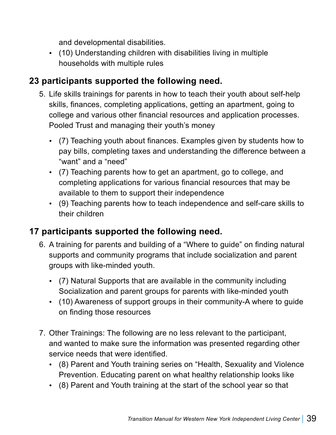and developmental disabilities.

• (10) Understanding children with disabilities living in multiple households with multiple rules

### **23 participants supported the following need.**

- 5. Life skills trainings for parents in how to teach their youth about self-help skills, finances, completing applications, getting an apartment, going to college and various other financial resources and application processes. Pooled Trust and managing their youth's money
	- (7) Teaching youth about finances. Examples given by students how to pay bills, completing taxes and understanding the difference between a "want" and a "need"
	- $\cdot$  (7) Teaching parents how to get an apartment, go to college, and completing applications for various financial resources that may be available to them to support their independence
	- (9) Teaching parents how to teach independence and self-care skills to their children

## **17 participants supported the following need.**

- 6. A training for parents and building of a "Where to guide" on finding natural supports and community programs that include socialization and parent groups with like-minded youth.
	- (7) Natural Supports that are available in the community including Socialization and parent groups for parents with like-minded youth
	- (10) Awareness of support groups in their community-A where to guide on finding those resources
- 7. Other Trainings: The following are no less relevant to the participant, and wanted to make sure the information was presented regarding other service needs that were identified.
	- (8) Parent and Youth training series on "Health, Sexuality and Violence Prevention. Educating parent on what healthy relationship looks like
	- (8) Parent and Youth training at the start of the school year so that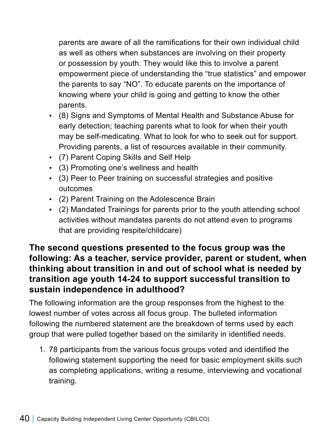parents are aware of all the ramifications for their own individual child as well as others when substances are involving on their property or possession by youth. They would like this to involve a parent empowerment piece of understanding the "true statistics" and empower the parents to say "NO". To educate parents on the importance of knowing where your child is going and getting to know the other parents.

- (8) Signs and Symptoms of Mental Health and Substance Abuse for early detection; teaching parents what to look for when their youth may be self-medicating. What to look for who to seek out for support. Providing parents, a list of resources available in their community.
- (7) Parent Coping Skills and Self Help
- (3) Promoting one's wellness and health
- (3) Peer to Peer training on successful strategies and positive outcomes
- (2) Parent Training on the Adolescence Brain
- (2) Mandated Trainings for parents prior to the youth attending school activities without mandates parents do not attend even to programs that are providing respite/childcare)

### **The second questions presented to the focus group was the following: As a teacher, service provider, parent or student, when thinking about transition in and out of school what is needed by transition age youth 14-24 to support successful transition to sustain independence in adulthood?**

The following information are the group responses from the highest to the lowest number of votes across all focus group. The bulleted information following the numbered statement are the breakdown of terms used by each group that were pulled together based on the similarity in identified needs.

1. 78 participants from the various focus groups voted and identified the following statement supporting the need for basic employment skills such as completing applications, writing a resume, interviewing and vocational training.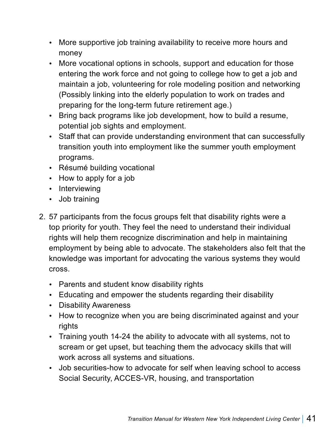- More supportive job training availability to receive more hours and money
- More vocational options in schools, support and education for those entering the work force and not going to college how to get a job and maintain a job, volunteering for role modeling position and networking (Possibly linking into the elderly population to work on trades and preparing for the long-term future retirement age.)
- Bring back programs like job development, how to build a resume, potential job sights and employment.
- Staff that can provide understanding environment that can successfully transition youth into employment like the summer youth employment programs.
- Résumé building vocational
- $\cdot$  How to apply for a job
- Interviewing
- Job training
- 2. 57 participants from the focus groups felt that disability rights were a top priority for youth. They feel the need to understand their individual rights will help them recognize discrimination and help in maintaining employment by being able to advocate. The stakeholders also felt that the knowledge was important for advocating the various systems they would cross.
	- Parents and student know disability rights
	- Educating and empower the students regarding their disability
	- Disability Awareness
	- How to recognize when you are being discriminated against and your rights
	- Training youth 14-24 the ability to advocate with all systems, not to scream or get upset, but teaching them the advocacy skills that will work across all systems and situations.
	- Job securities-how to advocate for self when leaving school to access Social Security, ACCES-VR, housing, and transportation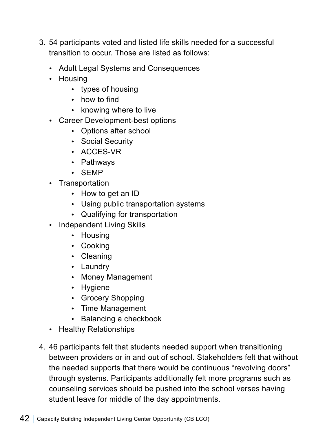- 3. 54 participants voted and listed life skills needed for a successful transition to occur. Those are listed as follows:
	- Adult Legal Systems and Consequences
	- Housing
		- types of housing
		- $\cdot$  how to find
		- knowing where to live
	- Career Development-best options
		- Options after school
		- Social Security
		- ACCES-VR
		- Pathways
		- SEMP
	- Transportation
		- How to get an ID
		- Using public transportation systems
		- Qualifying for transportation
	- Independent Living Skills
		- Housing
		- Cooking
		- Cleaning
		- Laundry
		- Money Management
		- Hygiene
		- Grocery Shopping
		- Time Management
		- Balancing a checkbook
	- Healthy Relationships
- 4. 46 participants felt that students needed support when transitioning between providers or in and out of school. Stakeholders felt that without the needed supports that there would be continuous "revolving doors" through systems. Participants additionally felt more programs such as counseling services should be pushed into the school verses having student leave for middle of the day appointments.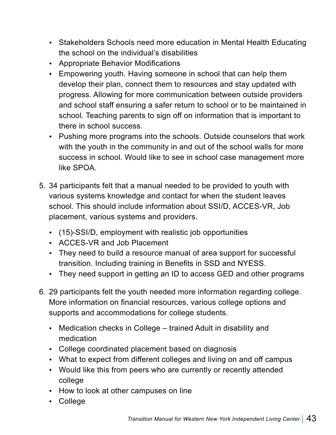- Stakeholders Schools need more education in Mental Health Educating the school on the individual's disabilities
- Appropriate Behavior Modifications
- Empowering youth. Having someone in school that can help them develop their plan, connect them to resources and stay updated with progress. Allowing for more communication between outside providers and school staff ensuring a safer return to school or to be maintained in school. Teaching parents to sign off on information that is important to there in school success.
- Pushing more programs into the schools. Outside counselors that work with the youth in the community in and out of the school walls for more success in school. Would like to see in school case management more like SPOA.
- 5. 34 participants felt that a manual needed to be provided to youth with various systems knowledge and contact for when the student leaves school. This should include information about SSI/D, ACCES-VR, Job placement, various systems and providers.
	- (15)-SSI/D, employment with realistic job opportunities
	- ACCES-VR and Job Placement
	- They need to build a resource manual of area support for successful transition. Including training in Benefits in SSD and NYESS.
	- They need support in getting an ID to access GED and other programs
- 6. 29 participants felt the youth needed more information regarding college. More information on financial resources, various college options and supports and accommodations for college students.
	- Medication checks in College trained Adult in disability and medication
	- College coordinated placement based on diagnosis
	- What to expect from different colleges and living on and off campus
	- Would like this from peers who are currently or recently attended college
	- How to look at other campuses on line
	- College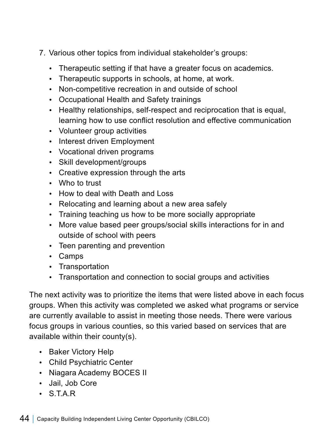- 7. Various other topics from individual stakeholder's groups:
	- Therapeutic setting if that have a greater focus on academics.
	- Therapeutic supports in schools, at home, at work.
	- Non-competitive recreation in and outside of school
	- Occupational Health and Safety trainings
	- Healthy relationships, self-respect and reciprocation that is equal, learning how to use conflict resolution and effective communication
	- Volunteer group activities
	- Interest driven Employment
	- Vocational driven programs
	- Skill development/groups
	- Creative expression through the arts
	- Who to trust
	- How to deal with Death and Loss
	- Relocating and learning about a new area safely
	- Training teaching us how to be more socially appropriate
	- More value based peer groups/social skills interactions for in and outside of school with peers
	- Teen parenting and prevention
	- Camps
	- Transportation
	- Transportation and connection to social groups and activities

The next activity was to prioritize the items that were listed above in each focus groups. When this activity was completed we asked what programs or service are currently available to assist in meeting those needs. There were various focus groups in various counties, so this varied based on services that are available within their county(s).

- Baker Victory Help
- Child Psychiatric Center
- Niagara Academy BOCES II
- Jail, Job Core
- y S.T.A.R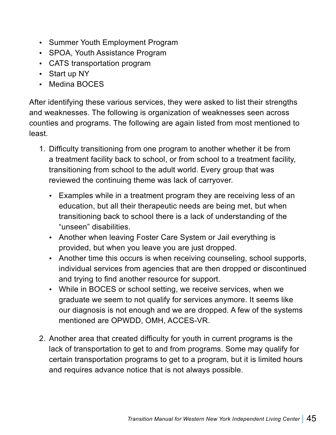- Summer Youth Employment Program
- SPOA, Youth Assistance Program
- CATS transportation program
- $\cdot$  Start up NY
- Medina BOCES

After identifying these various services, they were asked to list their strengths and weaknesses. The following is organization of weaknesses seen across counties and programs. The following are again listed from most mentioned to least.

- 1. Difficulty transitioning from one program to another whether it be from a treatment facility back to school, or from school to a treatment facility, transitioning from school to the adult world. Every group that was reviewed the continuing theme was lack of carryover.
	- Examples while in a treatment program they are receiving less of an education, but all their therapeutic needs are being met, but when transitioning back to school there is a lack of understanding of the "unseen" disabilities.
	- Another when leaving Foster Care System or Jail everything is provided, but when you leave you are just dropped.
	- Another time this occurs is when receiving counseling, school supports, individual services from agencies that are then dropped or discontinued and trying to find another resource for support.
	- While in BOCES or school setting, we receive services, when we graduate we seem to not qualify for services anymore. It seems like our diagnosis is not enough and we are dropped. A few of the systems mentioned are OPWDD, OMH, ACCES-VR.
- 2. Another area that created difficulty for youth in current programs is the lack of transportation to get to and from programs. Some may qualify for certain transportation programs to get to a program, but it is limited hours and requires advance notice that is not always possible.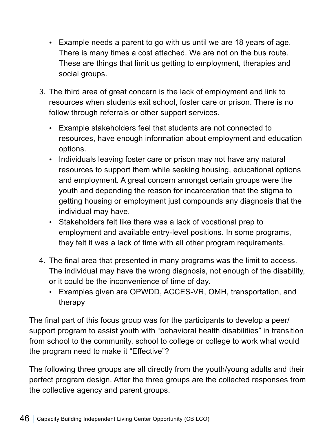- $\cdot$  Example needs a parent to go with us until we are 18 years of age. There is many times a cost attached. We are not on the bus route. These are things that limit us getting to employment, therapies and social groups.
- 3. The third area of great concern is the lack of employment and link to resources when students exit school, foster care or prison. There is no follow through referrals or other support services.
	- Example stakeholders feel that students are not connected to resources, have enough information about employment and education options.
	- Individuals leaving foster care or prison may not have any natural resources to support them while seeking housing, educational options and employment. A great concern amongst certain groups were the youth and depending the reason for incarceration that the stigma to getting housing or employment just compounds any diagnosis that the individual may have.
	- Stakeholders felt like there was a lack of vocational prep to employment and available entry-level positions. In some programs, they felt it was a lack of time with all other program requirements.
- 4. The final area that presented in many programs was the limit to access. The individual may have the wrong diagnosis, not enough of the disability, or it could be the inconvenience of time of day.
	- Examples given are OPWDD, ACCES-VR, OMH, transportation, and therapy

The final part of this focus group was for the participants to develop a peer/ support program to assist youth with "behavioral health disabilities" in transition from school to the community, school to college or college to work what would the program need to make it "Effective"?

The following three groups are all directly from the youth/young adults and their perfect program design. After the three groups are the collected responses from the collective agency and parent groups.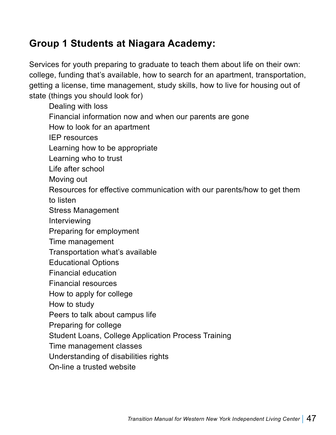# **Group 1 Students at Niagara Academy:**

Services for youth preparing to graduate to teach them about life on their own: college, funding that's available, how to search for an apartment, transportation, getting a license, time management, study skills, how to live for housing out of state (things you should look for)

Dealing with loss Financial information now and when our parents are gone How to look for an apartment IEP resources Learning how to be appropriate Learning who to trust Life after school Moving out Resources for effective communication with our parents/how to get them to listen Stress Management Interviewing Preparing for employment Time management Transportation what's available Educational Options Financial education Financial resources How to apply for college How to study Peers to talk about campus life Preparing for college Student Loans, College Application Process Training Time management classes Understanding of disabilities rights On-line a trusted website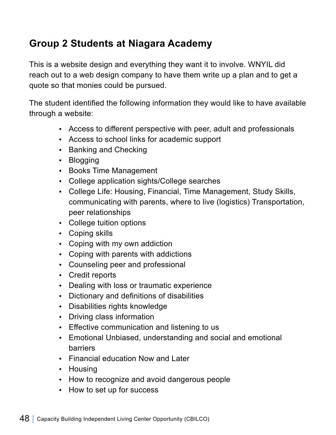# **Group 2 Students at Niagara Academy**

This is a website design and everything they want it to involve. WNYIL did reach out to a web design company to have them write up a plan and to get a quote so that monies could be pursued.

The student identified the following information they would like to have available through a website:

- Access to different perspective with peer, adult and professionals
- Access to school links for academic support
- Banking and Checking
- Blogging
- Books Time Management
- College application sights/College searches
- College Life: Housing, Financial, Time Management, Study Skills, communicating with parents, where to live (logistics) Transportation, peer relationships
- College tuition options
- Coping skills
- Coping with my own addiction
- Coping with parents with addictions
- Counseling peer and professional
- Credit reports
- Dealing with loss or traumatic experience
- Dictionary and definitions of disabilities
- Disabilities rights knowledge
- Driving class information
- Effective communication and listening to us
- Emotional Unbiased, understanding and social and emotional barriers
- Financial education Now and Later
- Housing
- How to recognize and avoid dangerous people
- How to set up for success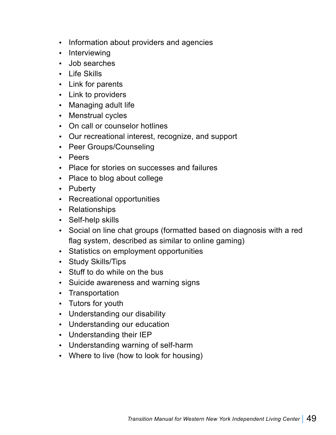- Information about providers and agencies
- Interviewing
- Job searches
- $\cdot$  Life Skills
- Link for parents
- Link to providers
- Managing adult life
- Menstrual cycles
- On call or counselor hotlines
- Our recreational interest, recognize, and support
- Peer Groups/Counseling
- Peers
- Place for stories on successes and failures
- Place to blog about college
- Puberty
- Recreational opportunities
- Relationships
- Self-help skills
- Social on line chat groups (formatted based on diagnosis with a red flag system, described as similar to online gaming)
- Statistics on employment opportunities
- Study Skills/Tips
- Stuff to do while on the bus
- Suicide awareness and warning signs
- Transportation
- Tutors for youth
- Understanding our disability
- Understanding our education
- Understanding their IEP
- Understanding warning of self-harm
- Where to live (how to look for housing)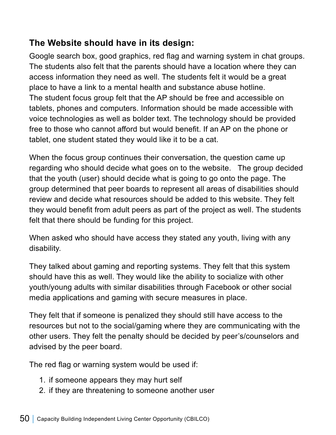## **The Website should have in its design:**

Google search box, good graphics, red flag and warning system in chat groups. The students also felt that the parents should have a location where they can access information they need as well. The students felt it would be a great place to have a link to a mental health and substance abuse hotline. The student focus group felt that the AP should be free and accessible on tablets, phones and computers. Information should be made accessible with voice technologies as well as bolder text. The technology should be provided free to those who cannot afford but would benefit. If an AP on the phone or tablet, one student stated they would like it to be a cat.

When the focus group continues their conversation, the question came up regarding who should decide what goes on to the website. The group decided that the youth (user) should decide what is going to go onto the page. The group determined that peer boards to represent all areas of disabilities should review and decide what resources should be added to this website. They felt they would benefit from adult peers as part of the project as well. The students felt that there should be funding for this project.

When asked who should have access they stated any youth, living with any disability.

They talked about gaming and reporting systems. They felt that this system should have this as well. They would like the ability to socialize with other youth/young adults with similar disabilities through Facebook or other social media applications and gaming with secure measures in place.

They felt that if someone is penalized they should still have access to the resources but not to the social/gaming where they are communicating with the other users. They felt the penalty should be decided by peer's/counselors and advised by the peer board.

The red flag or warning system would be used if:

- 1. if someone appears they may hurt self
- 2. if they are threatening to someone another user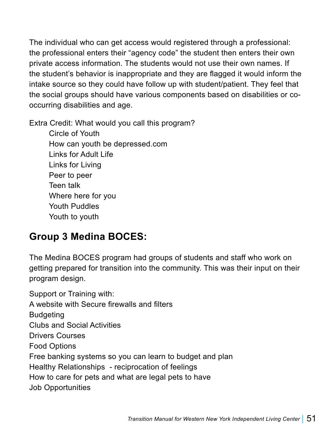The individual who can get access would registered through a professional: the professional enters their "agency code" the student then enters their own private access information. The students would not use their own names. If the student's behavior is inappropriate and they are flagged it would inform the intake source so they could have follow up with student/patient. They feel that the social groups should have various components based on disabilities or cooccurring disabilities and age.

Extra Credit: What would you call this program?

Circle of Youth How can youth be depressed.com Links for Adult Life Links for Living Peer to peer Teen talk Where here for you Youth Puddles Youth to youth

## **Group 3 Medina BOCES:**

The Medina BOCES program had groups of students and staff who work on getting prepared for transition into the community. This was their input on their program design.

Support or Training with: A website with Secure firewalls and filters Budgeting Clubs and Social Activities Drivers Courses Food Options Free banking systems so you can learn to budget and plan Healthy Relationships - reciprocation of feelings How to care for pets and what are legal pets to have Job Opportunities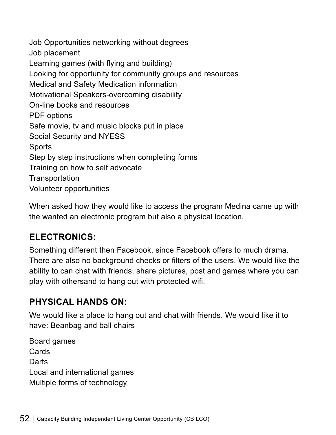Job Opportunities networking without degrees Job placement Learning games (with flying and building) Looking for opportunity for community groups and resources Medical and Safety Medication information Motivational Speakers-overcoming disability On-line books and resources PDF options Safe movie, tv and music blocks put in place Social Security and NYESS Sports Step by step instructions when completing forms Training on how to self advocate **Transportation** Volunteer opportunities

When asked how they would like to access the program Medina came up with the wanted an electronic program but also a physical location.

### **ELECTRONICS:**

Something different then Facebook, since Facebook offers to much drama. There are also no background checks or filters of the users. We would like the ability to can chat with friends, share pictures, post and games where you can play with othersand to hang out with protected wifi.

### **PHYSICAL HANDS ON:**

We would like a place to hang out and chat with friends. We would like it to have: Beanbag and ball chairs

Board games **Cards Darts** Local and international games Multiple forms of technology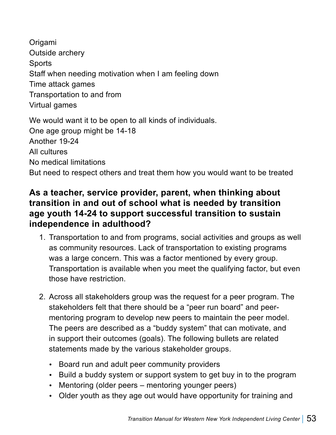Origami Outside archery **Sports** Staff when needing motivation when I am feeling down Time attack games Transportation to and from Virtual games We would want it to be open to all kinds of individuals. One age group might be 14-18 Another 19-24 All cultures No medical limitations

But need to respect others and treat them how you would want to be treated

### **As a teacher, service provider, parent, when thinking about transition in and out of school what is needed by transition age youth 14-24 to support successful transition to sustain independence in adulthood?**

- 1. Transportation to and from programs, social activities and groups as well as community resources. Lack of transportation to existing programs was a large concern. This was a factor mentioned by every group. Transportation is available when you meet the qualifying factor, but even those have restriction.
- 2. Across all stakeholders group was the request for a peer program. The stakeholders felt that there should be a "peer run board" and peermentoring program to develop new peers to maintain the peer model. The peers are described as a "buddy system" that can motivate, and in support their outcomes (goals). The following bullets are related statements made by the various stakeholder groups.
	- Board run and adult peer community providers
	- Build a buddy system or support system to get buy in to the program
	- Mentoring (older peers mentoring younger peers)
	- Older youth as they age out would have opportunity for training and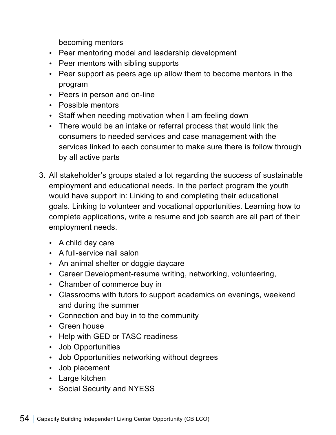becoming mentors

- Peer mentoring model and leadership development
- Peer mentors with sibling supports
- Peer support as peers age up allow them to become mentors in the program
- Peers in person and on-line
- Possible mentors
- Staff when needing motivation when I am feeling down
- There would be an intake or referral process that would link the consumers to needed services and case management with the services linked to each consumer to make sure there is follow through by all active parts
- 3. All stakeholder's groups stated a lot regarding the success of sustainable employment and educational needs. In the perfect program the youth would have support in: Linking to and completing their educational goals. Linking to volunteer and vocational opportunities. Learning how to complete applications, write a resume and job search are all part of their employment needs.
	- A child day care
	- A full-service nail salon
	- An animal shelter or doggie daycare
	- Career Development-resume writing, networking, volunteering,
	- Chamber of commerce buy in
	- Classrooms with tutors to support academics on evenings, weekend and during the summer
	- Connection and buy in to the community
	- Green house
	- Help with GED or TASC readiness
	- Job Opportunities
	- Job Opportunities networking without degrees
	- Job placement
	- Large kitchen
	- Social Security and NYESS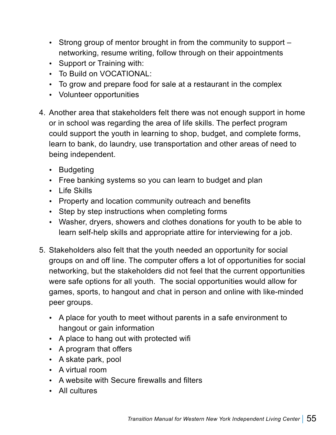- $\cdot$  Strong group of mentor brought in from the community to support  $$ networking, resume writing, follow through on their appointments
- Support or Training with:
- To Build on VOCATIONAL:
- To grow and prepare food for sale at a restaurant in the complex
- Volunteer opportunities
- 4. Another area that stakeholders felt there was not enough support in home or in school was regarding the area of life skills. The perfect program could support the youth in learning to shop, budget, and complete forms, learn to bank, do laundry, use transportation and other areas of need to being independent.
	- Budgeting
	- Free banking systems so you can learn to budget and plan
	- Life Skills
	- Property and location community outreach and benefits
	- Step by step instructions when completing forms
	- Washer, dryers, showers and clothes donations for youth to be able to learn self-help skills and appropriate attire for interviewing for a job.
- 5. Stakeholders also felt that the youth needed an opportunity for social groups on and off line. The computer offers a lot of opportunities for social networking, but the stakeholders did not feel that the current opportunities were safe options for all youth. The social opportunities would allow for games, sports, to hangout and chat in person and online with like-minded peer groups.
	- A place for youth to meet without parents in a safe environment to hangout or gain information
	- A place to hang out with protected wifi
	- A program that offers
	- A skate park, pool
	- $\bullet$  A virtual room
	- A website with Secure firewalls and filters
	- All cultures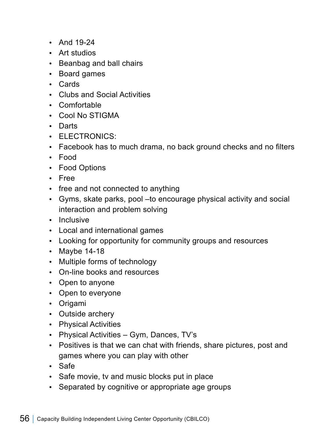- And  $19-24$
- Art studios
- Beanbag and ball chairs
- Board games
- Cards
- Clubs and Social Activities
- Comfortable
- Cool No STIGMA
- Darts
- ELECTRONICS:
- Facebook has to much drama, no back ground checks and no filters
- Food
- Food Options
- Free
- $\cdot$  free and not connected to anything
- Gyms, skate parks, pool –to encourage physical activity and social interaction and problem solving
- Inclusive
- Local and international games
- Looking for opportunity for community groups and resources
- $\cdot$  Maybe 14-18
- Multiple forms of technology
- On-line books and resources
- Open to anyone
- Open to everyone
- Origami
- Outside archery
- Physical Activities
- Physical Activities Gym, Dances, TV's
- Positives is that we can chat with friends, share pictures, post and games where you can play with other
- Safe
- Safe movie, tv and music blocks put in place
- Separated by cognitive or appropriate age groups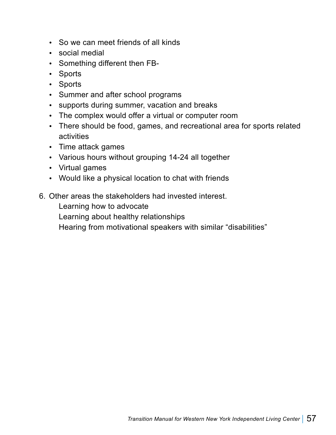- So we can meet friends of all kinds
- social medial
- Something different then FB-
- Sports
- Sports
- Summer and after school programs
- supports during summer, vacation and breaks
- The complex would offer a virtual or computer room
- There should be food, games, and recreational area for sports related activities
- Time attack games
- Various hours without grouping 14-24 all together
- Virtual games
- Would like a physical location to chat with friends
- 6. Other areas the stakeholders had invested interest.

Learning how to advocate

Learning about healthy relationships

Hearing from motivational speakers with similar "disabilities"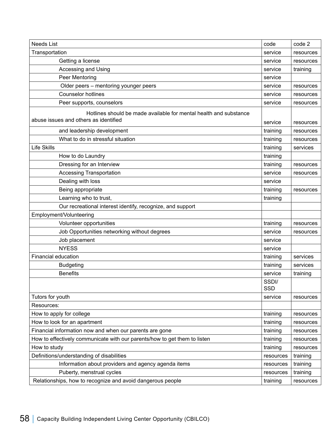| <b>Needs List</b>                                                                                          | code                | code 2    |
|------------------------------------------------------------------------------------------------------------|---------------------|-----------|
| Transportation                                                                                             | service             | resources |
| Getting a license                                                                                          | service             | resources |
| Accessing and Using                                                                                        | service             | training  |
| Peer Mentoring                                                                                             | service             |           |
| Older peers - mentoring younger peers                                                                      | service             | resources |
| <b>Counselor hotlines</b>                                                                                  | service             | resources |
| Peer supports, counselors                                                                                  | service             | resources |
| Hotlines should be made available for mental health and substance<br>abuse issues and others as identified |                     |           |
|                                                                                                            | service             | resources |
| and leadership development                                                                                 | training            | resources |
| What to do in stressful situation                                                                          | training            | resources |
| <b>Life Skills</b>                                                                                         | training            | services  |
| How to do Laundry                                                                                          | training            |           |
| Dressing for an Interview                                                                                  | training            | resources |
| <b>Accessing Transportation</b>                                                                            | service             | resources |
| Dealing with loss                                                                                          | service             |           |
| Being appropriate                                                                                          | training            | resources |
| Learning who to trust,                                                                                     | training            |           |
| Our recreational interest identify, recognize, and support                                                 |                     |           |
| Employment/Volunteering                                                                                    |                     |           |
| Volunteer opportunities                                                                                    | training            | resources |
| Job Opportunities networking without degrees                                                               | service             | resources |
| Job placement                                                                                              | service             |           |
| <b>NYESS</b>                                                                                               | service             |           |
| Financial education                                                                                        | training            | services  |
| <b>Budgeting</b>                                                                                           | training            | services  |
| <b>Benefits</b>                                                                                            | service             | training  |
|                                                                                                            | SSDI/<br><b>SSD</b> |           |
| Tutors for youth                                                                                           | service             | resources |
| Resources:                                                                                                 |                     |           |
| How to apply for college                                                                                   | training            | resources |
| How to look for an apartment                                                                               | training            | resources |
| Financial information now and when our parents are gone                                                    | training            | resources |
| How to effectively communicate with our parents/how to get them to listen                                  | training            | resources |
| How to study                                                                                               | training            | resources |
| Definitions/understanding of disabilities                                                                  | resources           | training  |
| Information about providers and agency agenda items                                                        | resources           | training  |
| Puberty, menstrual cycles                                                                                  | resources           | training  |
| Relationships, how to recognize and avoid dangerous people                                                 | training            | resources |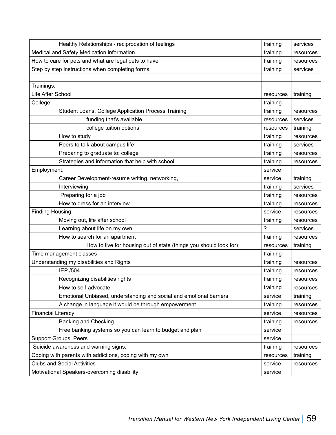| Healthy Relationships - reciprocation of feelings                   | training  | services  |
|---------------------------------------------------------------------|-----------|-----------|
| Medical and Safety Medication information                           | training  | resources |
| How to care for pets and what are legal pets to have                | training  | resources |
| Step by step instructions when completing forms                     | training  | services  |
|                                                                     |           |           |
| Trainings:                                                          |           |           |
| Life After School                                                   | resources | training  |
| College:                                                            | training  |           |
| Student Loans, College Application Process Training                 | training  | resources |
| funding that's available                                            | resources | services  |
| college tuition options                                             | resources | training  |
| How to study                                                        | training  | resources |
| Peers to talk about campus life                                     | training  | services  |
| Preparing to graduate to: college                                   | training  | resources |
| Strategies and information that help with school                    | training  | resources |
| Employment:                                                         | service   |           |
| Career Development-resume writing, networking,                      | service   | training  |
| Interviewing                                                        | training  | services  |
| Preparing for a job                                                 | training  | resources |
| How to dress for an interview                                       | training  | resources |
| Finding Housing:                                                    | service   | resources |
| Moving out, life after school                                       | training  | resources |
| Learning about life on my own                                       | ?         | services  |
| How to search for an apartment                                      | training  | resources |
| How to live for housing out of state (things you should look for)   | resources | training  |
| Time management classes                                             | training  |           |
| Understanding my disabilities and Rights                            | training  | resources |
| <b>IEP /504</b>                                                     | training  | resources |
| Recognizing disabilities rights                                     | training  | resources |
| How to self-advocate                                                | training  | resources |
| Emotional Unbiased, understanding and social and emotional barriers | service   | training  |
| A change in language it would be through empowerment                | training  | resources |
| <b>Financial Literacy</b>                                           | service   | resources |
| <b>Banking and Checking</b>                                         | training  | resources |
| Free banking systems so you can learn to budget and plan            | service   |           |
| <b>Support Groups: Peers</b>                                        | service   |           |
| Suicide awareness and warning signs,                                | training  | resources |
| Coping with parents with addictions, coping with my own             | resources | training  |
| <b>Clubs and Social Activities</b>                                  | service   | resources |
| Motivational Speakers-overcoming disability                         | service   |           |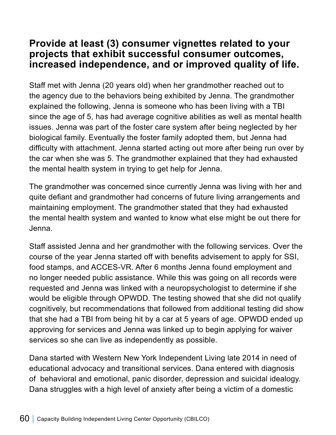### **Provide at least (3) consumer vignettes related to your projects that exhibit successful consumer outcomes, increased independence, and or improved quality of life.**

Staff met with Jenna (20 years old) when her grandmother reached out to the agency due to the behaviors being exhibited by Jenna. The grandmother explained the following, Jenna is someone who has been living with a TBI since the age of 5, has had average cognitive abilities as well as mental health issues. Jenna was part of the foster care system after being neglected by her biological family. Eventually the foster family adopted them, but Jenna had difficulty with attachment. Jenna started acting out more after being run over by the car when she was 5. The grandmother explained that they had exhausted the mental health system in trying to get help for Jenna.

The grandmother was concerned since currently Jenna was living with her and quite defiant and grandmother had concerns of future living arrangements and maintaining employment. The grandmother stated that they had exhausted the mental health system and wanted to know what else might be out there for Jenna.

Staff assisted Jenna and her grandmother with the following services. Over the course of the year Jenna started off with benefits advisement to apply for SSI, food stamps, and ACCES-VR. After 6 months Jenna found employment and no longer needed public assistance. While this was going on all records were requested and Jenna was linked with a neuropsychologist to determine if she would be eligible through OPWDD. The testing showed that she did not qualify cognitively, but recommendations that followed from additional testing did show that she had a TBI from being hit by a car at 5 years of age. OPWDD ended up approving for services and Jenna was linked up to begin applying for waiver services so she can live as independently as possible.

Dana started with Western New York Independent Living late 2014 in need of educational advocacy and transitional services. Dana entered with diagnosis of behavioral and emotional, panic disorder, depression and suicidal idealogy. Dana struggles with a high level of anxiety after being a victim of a domestic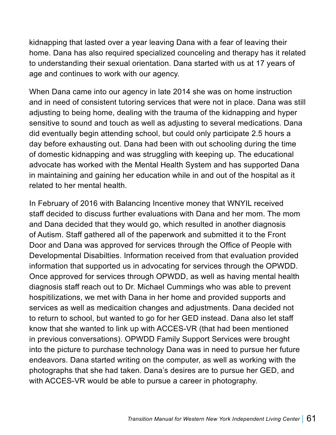kidnapping that lasted over a year leaving Dana with a fear of leaving their home. Dana has also required specialized counceling and therapy has it related to understanding their sexual orientation. Dana started with us at 17 years of age and continues to work with our agency.

When Dana came into our agency in late 2014 she was on home instruction and in need of consistent tutoring services that were not in place. Dana was still adjusting to being home, dealing with the trauma of the kidnapping and hyper sensitive to sound and touch as well as adjusting to several medications. Dana did eventually begin attending school, but could only participate 2.5 hours a day before exhausting out. Dana had been with out schooling during the time of domestic kidnapping and was struggling with keeping up. The educational advocate has worked with the Mental Health System and has supported Dana in maintaining and gaining her education while in and out of the hospital as it related to her mental health.

In February of 2016 with Balancing Incentive money that WNYIL received staff decided to discuss further evaluations with Dana and her mom. The mom and Dana decided that they would go, which resulted in another diagnosis of Autism. Staff gathered all of the paperwork and submitted it to the Front Door and Dana was approved for services through the Office of People with Developmental Disabilties. Information received from that evaluation provided information that supported us in advocating for services through the OPWDD. Once approved for services through OPWDD, as well as having mental health diagnosis staff reach out to Dr. Michael Cummings who was able to prevent hospitilizations, we met with Dana in her home and provided supports and services as well as medicaition changes and adjustments. Dana decided not to return to school, but wanted to go for her GED instead. Dana also let staff know that she wanted to link up with ACCES-VR (that had been mentioned in previous conversations). OPWDD Family Support Services were brought into the picture to purchase technology Dana was in need to pursue her future endeavors. Dana started writing on the computer, as well as working with the photographs that she had taken. Dana's desires are to pursue her GED, and with ACCES-VR would be able to pursue a career in photography.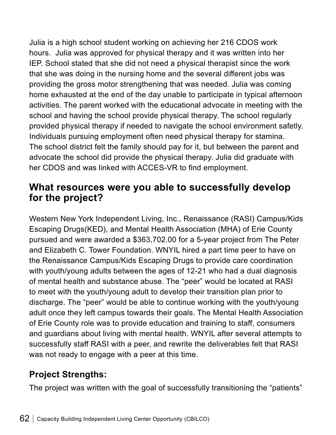Julia is a high school student working on achieving her 216 CDOS work hours. Julia was approved for physical therapy and it was written into her IEP. School stated that she did not need a physical therapist since the work that she was doing in the nursing home and the several different jobs was providing the gross motor strengthening that was needed. Julia was coming home exhausted at the end of the day unable to participate in typical afternoon activities. The parent worked with the educational advocate in meeting with the school and having the school provide physical therapy. The school regularly provided physical therapy if needed to navigate the school environment safetly. Individuals pursuing employment often need physical therapy for stamina. The school district felt the family should pay for it, but between the parent and advocate the school did provide the physical therapy. Julia did graduate with her CDOS and was linked with ACCES-VR to find employment.

## **What resources were you able to successfully develop for the project?**

Western New York Independent Living, Inc., Renaissance (RASI) Campus/Kids Escaping Drugs(KED), and Mental Health Association (MHA) of Erie County pursued and were awarded a \$363,702.00 for a 5-year project from The Peter and Elizabeth C. Tower Foundation. WNYIL hired a part time peer to have on the Renaissance Campus/Kids Escaping Drugs to provide care coordination with youth/young adults between the ages of 12-21 who had a dual diagnosis of mental health and substance abuse. The "peer" would be located at RASI to meet with the youth/young adult to develop their transition plan prior to discharge. The "peer" would be able to continue working with the youth/young adult once they left campus towards their goals. The Mental Health Association of Erie County role was to provide education and training to staff, consumers and guardians about living with mental health. WNYIL after several attempts to successfully staff RASI with a peer, and rewrite the deliverables felt that RASI was not ready to engage with a peer at this time.

## **Project Strengths:**

The project was written with the goal of successfully transitioning the "patients"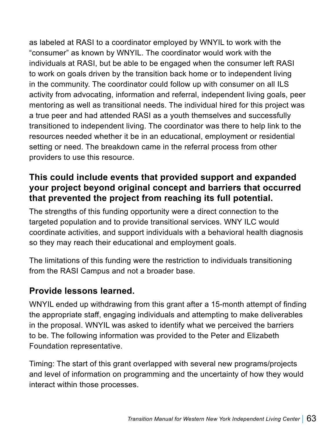as labeled at RASI to a coordinator employed by WNYIL to work with the "consumer" as known by WNYIL. The coordinator would work with the individuals at RASI, but be able to be engaged when the consumer left RASI to work on goals driven by the transition back home or to independent living in the community. The coordinator could follow up with consumer on all ILS activity from advocating, information and referral, independent living goals, peer mentoring as well as transitional needs. The individual hired for this project was a true peer and had attended RASI as a youth themselves and successfully transitioned to independent living. The coordinator was there to help link to the resources needed whether it be in an educational, employment or residential setting or need. The breakdown came in the referral process from other providers to use this resource.

### **This could include events that provided support and expanded your project beyond original concept and barriers that occurred that prevented the project from reaching its full potential.**

The strengths of this funding opportunity were a direct connection to the targeted population and to provide transitional services. WNY ILC would coordinate activities, and support individuals with a behavioral health diagnosis so they may reach their educational and employment goals.

The limitations of this funding were the restriction to individuals transitioning from the RASI Campus and not a broader base.

### **Provide lessons learned.**

WNYIL ended up withdrawing from this grant after a 15-month attempt of finding the appropriate staff, engaging individuals and attempting to make deliverables in the proposal. WNYIL was asked to identify what we perceived the barriers to be. The following information was provided to the Peter and Elizabeth Foundation representative.

Timing: The start of this grant overlapped with several new programs/projects and level of information on programming and the uncertainty of how they would interact within those processes.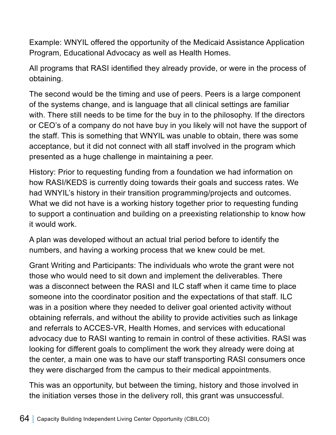Example: WNYIL offered the opportunity of the Medicaid Assistance Application Program, Educational Advocacy as well as Health Homes.

All programs that RASI identified they already provide, or were in the process of obtaining.

The second would be the timing and use of peers. Peers is a large component of the systems change, and is language that all clinical settings are familiar with. There still needs to be time for the buy in to the philosophy. If the directors or CEO's of a company do not have buy in you likely will not have the support of the staff. This is something that WNYIL was unable to obtain, there was some acceptance, but it did not connect with all staff involved in the program which presented as a huge challenge in maintaining a peer.

History: Prior to requesting funding from a foundation we had information on how RASI/KEDS is currently doing towards their goals and success rates. We had WNYIL's history in their transition programming/projects and outcomes. What we did not have is a working history together prior to requesting funding to support a continuation and building on a preexisting relationship to know how it would work.

A plan was developed without an actual trial period before to identify the numbers, and having a working process that we knew could be met.

Grant Writing and Participants: The individuals who wrote the grant were not those who would need to sit down and implement the deliverables. There was a disconnect between the RASI and ILC staff when it came time to place someone into the coordinator position and the expectations of that staff. ILC was in a position where they needed to deliver goal oriented activity without obtaining referrals, and without the ability to provide activities such as linkage and referrals to ACCES-VR, Health Homes, and services with educational advocacy due to RASI wanting to remain in control of these activities. RASI was looking for different goals to compliment the work they already were doing at the center, a main one was to have our staff transporting RASI consumers once they were discharged from the campus to their medical appointments.

This was an opportunity, but between the timing, history and those involved in the initiation verses those in the delivery roll, this grant was unsuccessful.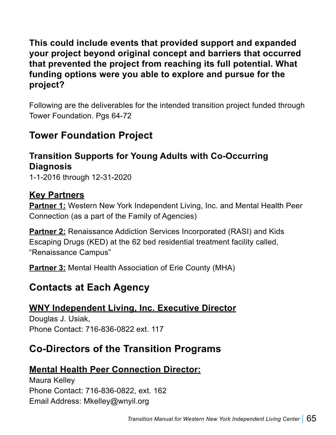**This could include events that provided support and expanded your project beyond original concept and barriers that occurred that prevented the project from reaching its full potential. What funding options were you able to explore and pursue for the project?**

Following are the deliverables for the intended transition project funded through Tower Foundation. Pgs 64-72

## **Tower Foundation Project**

## **Transition Supports for Young Adults with Co-Occurring Diagnosis**

1-1-2016 through 12-31-2020

#### **Key Partners**

**Partner 1:** Western New York Independent Living, Inc. and Mental Health Peer Connection (as a part of the Family of Agencies)

**Partner 2:** Renaissance Addiction Services Incorporated (RASI) and Kids Escaping Drugs (KED) at the 62 bed residential treatment facility called, "Renaissance Campus"

**Partner 3:** Mental Health Association of Erie County (MHA)

## **Contacts at Each Agency**

### **WNY Independent Living, Inc. Executive Director**

Douglas J. Usiak, Phone Contact: 716-836-0822 ext. 117

## **Co-Directors of the Transition Programs**

### **Mental Health Peer Connection Director:**

Maura Kelley Phone Contact: 716-836-0822, ext. 162 Email Address: Mkelley@wnyil.org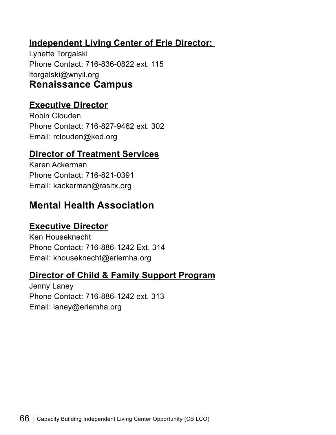### **Independent Living Center of Erie Director:**

Lynette Torgalski Phone Contact: 716-836-0822 ext. 115 ltorgalski@wnyil.org **Renaissance Campus**

### **Executive Director**

Robin Clouden Phone Contact: 716-827-9462 ext. 302 Email: rclouden@ked.org

### **Director of Treatment Services**

Karen Ackerman Phone Contact: 716-821-0391 Email: kackerman@rasitx.org

## **Mental Health Association**

#### **Executive Director**

Ken Houseknecht Phone Contact: 716-886-1242 Ext. 314 Email: khouseknecht@eriemha.org

#### **Director of Child & Family Support Program**

Jenny Laney Phone Contact: 716-886-1242 ext. 313 Email: laney@eriemha.org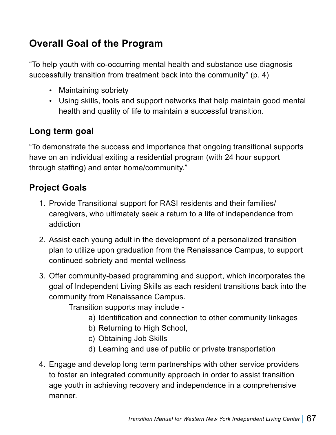# **Overall Goal of the Program**

"To help youth with co-occurring mental health and substance use diagnosis successfully transition from treatment back into the community" (p. 4)

- Maintaining sobriety
- Using skills, tools and support networks that help maintain good mental health and quality of life to maintain a successful transition.

### **Long term goal**

"To demonstrate the success and importance that ongoing transitional supports have on an individual exiting a residential program (with 24 hour support through staffing) and enter home/community."

### **Project Goals**

- 1. Provide Transitional support for RASI residents and their families/ caregivers, who ultimately seek a return to a life of independence from addiction
- 2. Assist each young adult in the development of a personalized transition plan to utilize upon graduation from the Renaissance Campus, to support continued sobriety and mental wellness
- 3. Offer community-based programming and support, which incorporates the goal of Independent Living Skills as each resident transitions back into the community from Renaissance Campus.

Transition supports may include -

- a) Identification and connection to other community linkages
- b) Returning to High School,
- c) Obtaining Job Skills
- d) Learning and use of public or private transportation
- 4. Engage and develop long term partnerships with other service providers to foster an integrated community approach in order to assist transition age youth in achieving recovery and independence in a comprehensive manner.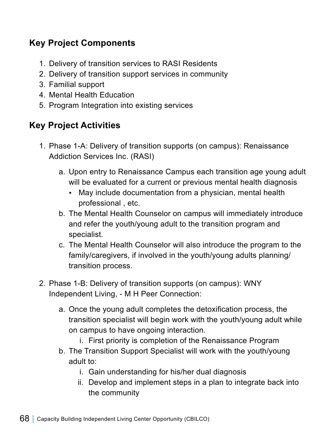## **Key Project Components**

- 1. Delivery of transition services to RASI Residents
- 2. Delivery of transition support services in community
- 3. Familial support
- 4. Mental Health Education
- 5. Program Integration into existing services

## **Key Project Activities**

- 1. Phase 1-A: Delivery of transition supports (on campus): Renaissance Addiction Services Inc. (RASI)
	- a. Upon entry to Renaissance Campus each transition age young adult will be evaluated for a current or previous mental health diagnosis
		- May include documentation from a physician, mental health professional , etc.
	- b. The Mental Health Counselor on campus will immediately introduce and refer the youth/young adult to the transition program and specialist.
	- c. The Mental Health Counselor will also introduce the program to the family/caregivers, if involved in the youth/young adults planning/ transition process.
- 2. Phase 1-B: Delivery of transition supports (on campus): WNY Independent Living, - M H Peer Connection:
	- a. Once the young adult completes the detoxification process, the transition specialist will begin work with the youth/young adult while on campus to have ongoing interaction.
		- i. First priority is completion of the Renaissance Program
	- b. The Transition Support Specialist will work with the youth/young adult to:
		- i. Gain understanding for his/her dual diagnosis
		- ii. Develop and implement steps in a plan to integrate back into the community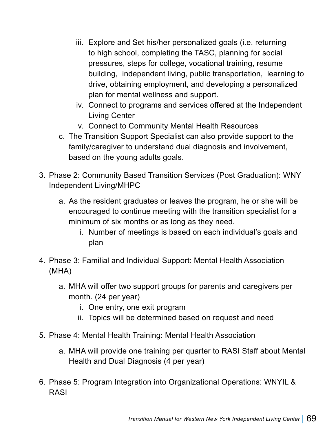- iii. Explore and Set his/her personalized goals (i.e. returning to high school, completing the TASC, planning for social pressures, steps for college, vocational training, resume building, independent living, public transportation, learning to drive, obtaining employment, and developing a personalized plan for mental wellness and support.
- iv. Connect to programs and services offered at the Independent Living Center
- v. Connect to Community Mental Health Resources
- c. The Transition Support Specialist can also provide support to the family/caregiver to understand dual diagnosis and involvement, based on the young adults goals.
- 3. Phase 2: Community Based Transition Services (Post Graduation): WNY Independent Living/MHPC
	- a. As the resident graduates or leaves the program, he or she will be encouraged to continue meeting with the transition specialist for a minimum of six months or as long as they need.
		- i. Number of meetings is based on each individual's goals and plan
- 4. Phase 3: Familial and Individual Support: Mental Health Association (MHA)
	- a. MHA will offer two support groups for parents and caregivers per month. (24 per year)
		- i. One entry, one exit program
		- ii. Topics will be determined based on request and need
- 5. Phase 4: Mental Health Training: Mental Health Association
	- a. MHA will provide one training per quarter to RASI Staff about Mental Health and Dual Diagnosis (4 per year)
- 6. Phase 5: Program Integration into Organizational Operations: WNYIL & RASI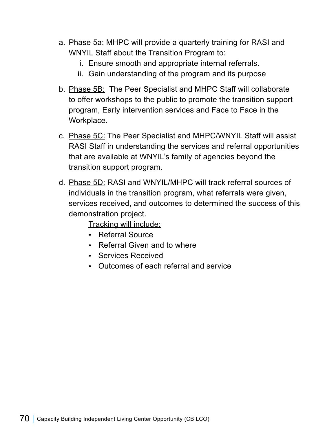- a. Phase 5a: MHPC will provide a quarterly training for RASI and WNYIL Staff about the Transition Program to:
	- i. Ensure smooth and appropriate internal referrals.
	- ii. Gain understanding of the program and its purpose
- b. Phase 5B: The Peer Specialist and MHPC Staff will collaborate to offer workshops to the public to promote the transition support program, Early intervention services and Face to Face in the Workplace.
- c. Phase 5C: The Peer Specialist and MHPC/WNYIL Staff will assist RASI Staff in understanding the services and referral opportunities that are available at WNYIL's family of agencies beyond the transition support program.
- d. Phase 5D: RASI and WNYIL/MHPC will track referral sources of individuals in the transition program, what referrals were given, services received, and outcomes to determined the success of this demonstration project.

Tracking will include:

- Referral Source
- Referral Given and to where
- Services Received
- Outcomes of each referral and service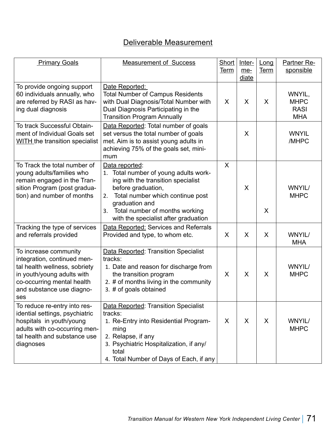## Deliverable Measurement

| <b>Primary Goals</b>                                                                                                                                                                  | <b>Measurement of Success</b>                                                                                                                                                                                                                                   | Short<br><b>Term</b> | Inter-<br>$me-$<br>diate | Long<br><b>Term</b> | <b>Partner Re-</b><br>sponsible                    |
|---------------------------------------------------------------------------------------------------------------------------------------------------------------------------------------|-----------------------------------------------------------------------------------------------------------------------------------------------------------------------------------------------------------------------------------------------------------------|----------------------|--------------------------|---------------------|----------------------------------------------------|
| To provide ongoing support<br>60 individuals annually, who<br>are referred by RASI as hav-<br>ing dual diagnosis                                                                      | Date Reported:<br><b>Total Number of Campus Residents</b><br>with Dual Diagnosis/Total Number with<br>Dual Diagnosis Participating in the<br><b>Transition Program Annually</b>                                                                                 | X                    | X                        | X                   | WNYIL,<br><b>MHPC</b><br><b>RASI</b><br><b>MHA</b> |
| To track Successful Obtain-<br>ment of Individual Goals set<br><b>WITH</b> the transition specialist                                                                                  | Data Reported: Total number of goals<br>set versus the total number of goals<br>met. Aim is to assist young adults in<br>achieving 75% of the goals set, mini-<br>mum                                                                                           |                      | X                        |                     | <b>WNYIL</b><br>/MHPC                              |
| To Track the total number of<br>young adults/families who<br>remain engaged in the Tran-<br>sition Program (post gradua-<br>tion) and number of months                                | Data reported:<br>1. Total number of young adults work-<br>ing with the transition specialist<br>before graduation,<br>Total number which continue post<br>2.<br>graduation and<br>Total number of months working<br>3.<br>with the specialist after graduation | X                    | X                        | X                   | <b>WNYIL/</b><br><b>MHPC</b>                       |
| Tracking the type of services<br>and referrals provided                                                                                                                               | Data Reported: Services and Referrals<br>Provided and type, to whom etc.                                                                                                                                                                                        | X                    | X                        | X                   | <b>WNYIL/</b><br><b>MHA</b>                        |
| To increase community<br>integration, continued men-<br>tal health wellness, sobriety<br>in youth/young adults with<br>co-occurring mental health<br>and substance use diagno-<br>ses | Data Reported: Transition Specialist<br>tracks:<br>1. Date and reason for discharge from<br>the transition program<br>2. # of months living in the community<br>3. # of goals obtained                                                                          | X                    | X                        | X                   | <b>WNYIL/</b><br><b>MHPC</b>                       |
| To reduce re-entry into res-<br>idential settings, psychiatric<br>hospitals in youth/young<br>adults with co-occurring men-<br>tal health and substance use<br>diagnoses              | Data Reported: Transition Specialist<br>tracks:<br>1. Re-Entry into Residential Program-<br>ming<br>2. Relapse, if any<br>3. Psychiatric Hospitalization, if any/<br>total<br>4. Total Number of Days of Each, if any                                           | X                    | X                        | X                   | <b>WNYIL/</b><br><b>MHPC</b>                       |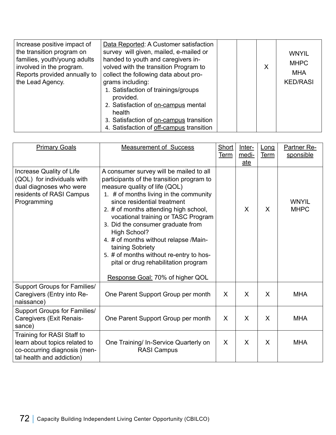| Increase positive impact of<br>the transition program on<br>families, youth/young adults<br>involved in the program.<br>Reports provided annually to<br>the Lead Agency. | Data Reported: A Customer satisfaction<br>survey will given, mailed, e-mailed or<br>handed to youth and caregivers in-<br>volved with the transition Program to<br>collect the following data about pro-<br>grams including:<br>1. Satisfaction of trainings/groups<br>provided.<br>2. Satisfaction of on-campus mental<br>health<br>3. Satisfaction of on-campus transition<br>4. Satisfaction of off-campus transition |  | X | <b>WNYIL</b><br><b>MHPC</b><br>MHA<br><b>KED/RASI</b> |
|--------------------------------------------------------------------------------------------------------------------------------------------------------------------------|--------------------------------------------------------------------------------------------------------------------------------------------------------------------------------------------------------------------------------------------------------------------------------------------------------------------------------------------------------------------------------------------------------------------------|--|---|-------------------------------------------------------|
|--------------------------------------------------------------------------------------------------------------------------------------------------------------------------|--------------------------------------------------------------------------------------------------------------------------------------------------------------------------------------------------------------------------------------------------------------------------------------------------------------------------------------------------------------------------------------------------------------------------|--|---|-------------------------------------------------------|

| <b>Primary Goals</b>                                                                                                         | <b>Measurement of Success</b>                                                                                                                                                                                                                                                                                                                                                                                                                                                                                                  | Short<br><b>Term</b> | Inter-<br>medi-<br>ate | Long<br><b>Term</b> | <b>Partner Re-</b><br>sponsible |
|------------------------------------------------------------------------------------------------------------------------------|--------------------------------------------------------------------------------------------------------------------------------------------------------------------------------------------------------------------------------------------------------------------------------------------------------------------------------------------------------------------------------------------------------------------------------------------------------------------------------------------------------------------------------|----------------------|------------------------|---------------------|---------------------------------|
| Increase Quality of Life<br>(QOL) for individuals with<br>dual diagnoses who were<br>residents of RASI Campus<br>Programming | A consumer survey will be mailed to all<br>participants of the transition program to<br>measure quality of life (QOL)<br>1. # of months living in the community<br>since residential treatment<br>2. # of months attending high school,<br>vocational training or TASC Program<br>3. Did the consumer graduate from<br><b>High School?</b><br>4. # of months without relapse /Main-<br>taining Sobriety<br>5. # of months without re-entry to hos-<br>pital or drug rehabilitation program<br>Response Goal: 70% of higher QOL |                      | X                      | X                   | <b>WNYIL</b><br><b>MHPC</b>     |
| <b>Support Groups for Families/</b><br>Caregivers (Entry into Re-<br>naissance)                                              | One Parent Support Group per month                                                                                                                                                                                                                                                                                                                                                                                                                                                                                             | $\mathsf{X}$         | $\mathsf{X}$           | $\mathsf{X}$        | <b>MHA</b>                      |
| <b>Support Groups for Families/</b><br>Caregivers (Exit Renais-<br>sance)                                                    | One Parent Support Group per month                                                                                                                                                                                                                                                                                                                                                                                                                                                                                             | $\mathsf{X}$         | $\mathsf{X}$           | $\mathsf{X}$        | <b>MHA</b>                      |
| Training for RASI Staff to<br>learn about topics related to<br>co-occurring diagnosis (men-<br>tal health and addiction)     | One Training/ In-Service Quarterly on<br><b>RASI Campus</b>                                                                                                                                                                                                                                                                                                                                                                                                                                                                    | $\sf X$              | X                      | X                   | <b>MHA</b>                      |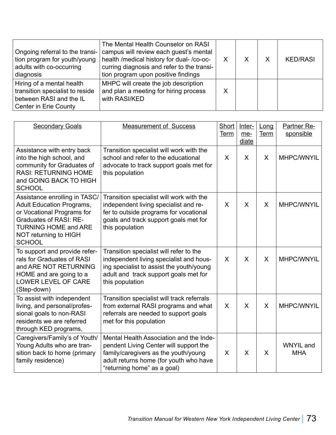| Ongoing referral to the transi-<br>tion program for youth/young<br>adults with co-occurring<br>diagnosis         | The Mental Health Counselor on RASI<br>campus will review each guest's mental<br>health /medical history for dual- /co-oc-<br>curring diagnosis and refer to the transi-<br>tion program upon positive findings |  | <b>KED/RASI</b> |
|------------------------------------------------------------------------------------------------------------------|-----------------------------------------------------------------------------------------------------------------------------------------------------------------------------------------------------------------|--|-----------------|
| Hiring of a mental health<br>transition specialist to reside<br>between RASI and the IL<br>Center in Erie County | MHPC will create the job description<br>and plan a meeting for hiring process<br>with RASI/KED                                                                                                                  |  |                 |

| <b>Secondary Goals</b>                                                                                                                                                                                    | <b>Measurement of Success</b>                                                                                                                                                                      | Short<br><b>Term</b> | Inter-<br>$me-$<br>diate | Long<br><b>Term</b> | Partner Re-<br>sponsible       |
|-----------------------------------------------------------------------------------------------------------------------------------------------------------------------------------------------------------|----------------------------------------------------------------------------------------------------------------------------------------------------------------------------------------------------|----------------------|--------------------------|---------------------|--------------------------------|
| Assistance with entry back<br>into the high school, and<br>community for Graduates of<br><b>RASI: RETURNING HOME</b><br>and GOING BACK TO HIGH<br><b>SCHOOL</b>                                           | Transition specialist will work with the<br>school and refer to the educational<br>advocate to track support goals met for<br>this population                                                      | X                    | $\sf X$                  | X                   | MHPC/WNYIL                     |
| Assistance enrolling in TASC/<br><b>Adult Education Programs,</b><br>or Vocational Programs for<br><b>Graduates of RASI: RE-</b><br><b>TURNING HOME and ARE</b><br>NOT returning to HIGH<br><b>SCHOOL</b> | Transition specialist will work with the<br>independent living specialist and re-<br>fer to outside programs for vocational<br>goals and track support goals met for<br>this population            | X                    | X                        | X                   | MHPC/WNYIL                     |
| To support and provide refer-<br>rals for Graduates of RASI<br>and ARE NOT RETURNING<br>HOME and are going to a<br><b>LOWER LEVEL OF CARE</b><br>(Step-down)                                              | Transition specialist will refer to the<br>independent living specialist and hous-<br>ing specialist to assist the youth/young<br>adult and track support goals met for<br>this population         | X                    | $\sf X$                  | $\sf X$             | MHPC/WNYIL                     |
| To assist with independent<br>living, and personal/profes-<br>sional goals to non-RASI<br>residents we are referred<br>through KED programs,                                                              | Transition specialist will track referrals<br>from external RASI programs and what<br>referrals are needed to support goals<br>met for this population                                             | X                    | $\sf X$                  | X                   | MHPC/WNYIL                     |
| Caregivers/Family's of Youth/<br>Young Adults who are tran-<br>sition back to home (primary<br>family residence)                                                                                          | Mental Health Association and the Inde-<br>pendent Living Center will support the<br>family/caregivers as the youth/young<br>adult returns home (for youth who have<br>"returning home" as a goal) | X                    | X                        | $\mathsf{X}$        | <b>WNYIL</b> and<br><b>MHA</b> |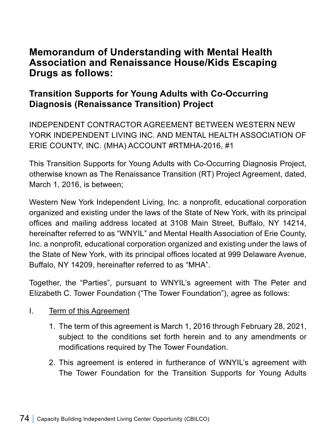# **Memorandum of Understanding with Mental Health Association and Renaissance House/Kids Escaping Drugs as follows:**

# **Transition Supports for Young Adults with Co-Occurring Diagnosis (Renaissance Transition) Project**

INDEPENDENT CONTRACTOR AGREEMENT BETWEEN WESTERN NEW YORK INDEPENDENT LIVING INC. AND MENTAL HEALTH ASSOCIATION OF ERIE COUNTY, INC. (MHA) ACCOUNT #RTMHA-2016, #1

This Transition Supports for Young Adults with Co-Occurring Diagnosis Project, otherwise known as The Renaissance Transition (RT) Project Agreement, dated, March 1, 2016, is between;

Western New York Independent Living, Inc. a nonprofit, educational corporation organized and existing under the laws of the State of New York, with its principal offices and mailing address located at 3108 Main Street, Buffalo, NY 14214, hereinafter referred to as "WNYIL" and Mental Health Association of Erie County, Inc. a nonprofit, educational corporation organized and existing under the laws of the State of New York, with its principal offices located at 999 Delaware Avenue, Buffalo, NY 14209, hereinafter referred to as "MHA".

Together, the "Parties", pursuant to WNYIL's agreement with The Peter and Elizabeth C. Tower Foundation ("The Tower Foundation"), agree as follows:

### I. Term of this Agreement

- 1. The term of this agreement is March 1, 2016 through February 28, 2021, subject to the conditions set forth herein and to any amendments or modifications required by The Tower Foundation.
- 2. This agreement is entered in furtherance of WNYIL's agreement with The Tower Foundation for the Transition Supports for Young Adults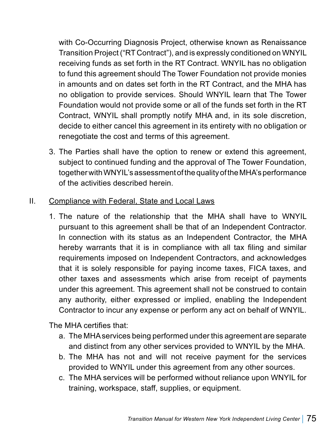with Co-Occurring Diagnosis Project, otherwise known as Renaissance Transition Project ("RT Contract"), and is expressly conditioned on WNYIL receiving funds as set forth in the RT Contract. WNYIL has no obligation to fund this agreement should The Tower Foundation not provide monies in amounts and on dates set forth in the RT Contract, and the MHA has no obligation to provide services. Should WNYIL learn that The Tower Foundation would not provide some or all of the funds set forth in the RT Contract, WNYIL shall promptly notify MHA and, in its sole discretion, decide to either cancel this agreement in its entirety with no obligation or renegotiate the cost and terms of this agreement.

3. The Parties shall have the option to renew or extend this agreement, subject to continued funding and the approval of The Tower Foundation, together with WNYIL's assessment of the quality of the MHA's performance of the activities described herein.

## II. Compliance with Federal, State and Local Laws

1. The nature of the relationship that the MHA shall have to WNYIL pursuant to this agreement shall be that of an Independent Contractor. In connection with its status as an Independent Contractor, the MHA hereby warrants that it is in compliance with all tax filing and similar requirements imposed on Independent Contractors, and acknowledges that it is solely responsible for paying income taxes, FICA taxes, and other taxes and assessments which arise from receipt of payments under this agreement. This agreement shall not be construed to contain any authority, either expressed or implied, enabling the Independent Contractor to incur any expense or perform any act on behalf of WNYIL.

The MHA certifies that:

- a. The MHA services being performed under this agreement are separate and distinct from any other services provided to WNYIL by the MHA.
- b. The MHA has not and will not receive payment for the services provided to WNYIL under this agreement from any other sources.
- c. The MHA services will be performed without reliance upon WNYIL for training, workspace, staff, supplies, or equipment.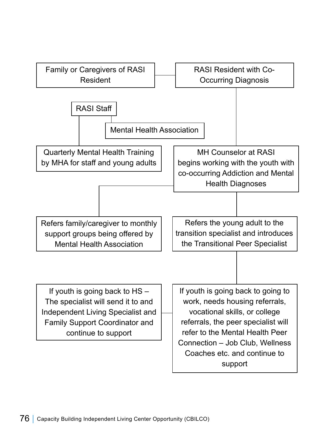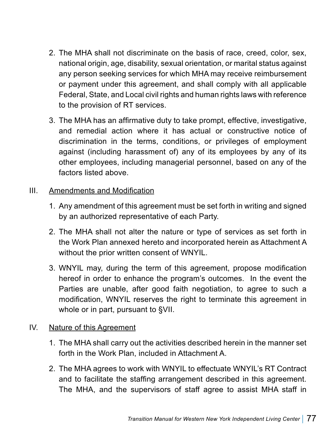- 2. The MHA shall not discriminate on the basis of race, creed, color, sex, national origin, age, disability, sexual orientation, or marital status against any person seeking services for which MHA may receive reimbursement or payment under this agreement, and shall comply with all applicable Federal, State, and Local civil rights and human rights laws with reference to the provision of RT services.
- 3. The MHA has an affirmative duty to take prompt, effective, investigative, and remedial action where it has actual or constructive notice of discrimination in the terms, conditions, or privileges of employment against (including harassment of) any of its employees by any of its other employees, including managerial personnel, based on any of the factors listed above.

#### III. Amendments and Modification

- 1. Any amendment of this agreement must be set forth in writing and signed by an authorized representative of each Party.
- 2. The MHA shall not alter the nature or type of services as set forth in the Work Plan annexed hereto and incorporated herein as Attachment A without the prior written consent of WNYIL.
- 3. WNYIL may, during the term of this agreement, propose modification hereof in order to enhance the program's outcomes. In the event the Parties are unable, after good faith negotiation, to agree to such a modification, WNYIL reserves the right to terminate this agreement in whole or in part, pursuant to §VII.

### IV. Nature of this Agreement

- 1. The MHA shall carry out the activities described herein in the manner set forth in the Work Plan, included in Attachment A.
- 2. The MHA agrees to work with WNYIL to effectuate WNYIL's RT Contract and to facilitate the staffing arrangement described in this agreement. The MHA, and the supervisors of staff agree to assist MHA staff in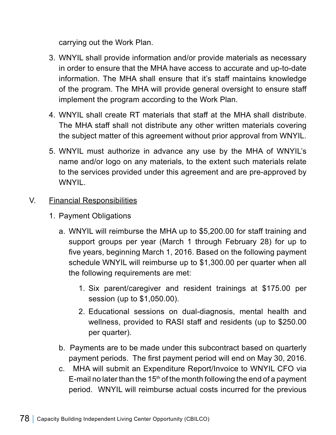carrying out the Work Plan.

- 3. WNYIL shall provide information and/or provide materials as necessary in order to ensure that the MHA have access to accurate and up-to-date information. The MHA shall ensure that it's staff maintains knowledge of the program. The MHA will provide general oversight to ensure staff implement the program according to the Work Plan.
- 4. WNYIL shall create RT materials that staff at the MHA shall distribute. The MHA staff shall not distribute any other written materials covering the subject matter of this agreement without prior approval from WNYIL.
- 5. WNYIL must authorize in advance any use by the MHA of WNYIL's name and/or logo on any materials, to the extent such materials relate to the services provided under this agreement and are pre-approved by WNYIL.

#### V. Financial Responsibilities

- 1. Payment Obligations
	- a. WNYIL will reimburse the MHA up to \$5,200.00 for staff training and support groups per year (March 1 through February 28) for up to five years, beginning March 1, 2016. Based on the following payment schedule WNYIL will reimburse up to \$1,300.00 per quarter when all the following requirements are met:
		- 1. Six parent/caregiver and resident trainings at \$175.00 per session (up to \$1,050.00).
		- 2. Educational sessions on dual-diagnosis, mental health and wellness, provided to RASI staff and residents (up to \$250.00 per quarter).
	- b. Payments are to be made under this subcontract based on quarterly payment periods. The first payment period will end on May 30, 2016.
	- c. MHA will submit an Expenditure Report/Invoice to WNYIL CFO via E-mail no later than the 15<sup>th</sup> of the month following the end of a payment period. WNYIL will reimburse actual costs incurred for the previous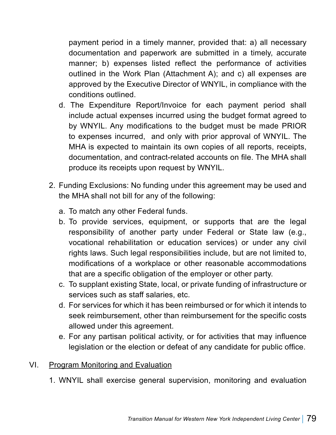payment period in a timely manner, provided that: a) all necessary documentation and paperwork are submitted in a timely, accurate manner; b) expenses listed reflect the performance of activities outlined in the Work Plan (Attachment A); and c) all expenses are approved by the Executive Director of WNYIL, in compliance with the conditions outlined.

- d. The Expenditure Report/Invoice for each payment period shall include actual expenses incurred using the budget format agreed to by WNYIL. Any modifications to the budget must be made PRIOR to expenses incurred, and only with prior approval of WNYIL. The MHA is expected to maintain its own copies of all reports, receipts, documentation, and contract-related accounts on file. The MHA shall produce its receipts upon request by WNYIL.
- 2. Funding Exclusions: No funding under this agreement may be used and the MHA shall not bill for any of the following:
	- a. To match any other Federal funds.
	- b. To provide services, equipment, or supports that are the legal responsibility of another party under Federal or State law (e.g., vocational rehabilitation or education services) or under any civil rights laws. Such legal responsibilities include, but are not limited to, modifications of a workplace or other reasonable accommodations that are a specific obligation of the employer or other party.
	- c. To supplant existing State, local, or private funding of infrastructure or services such as staff salaries, etc.
	- d. For services for which it has been reimbursed or for which it intends to seek reimbursement, other than reimbursement for the specific costs allowed under this agreement.
	- e. For any partisan political activity, or for activities that may influence legislation or the election or defeat of any candidate for public office.

#### VI. Program Monitoring and Evaluation

1. WNYIL shall exercise general supervision, monitoring and evaluation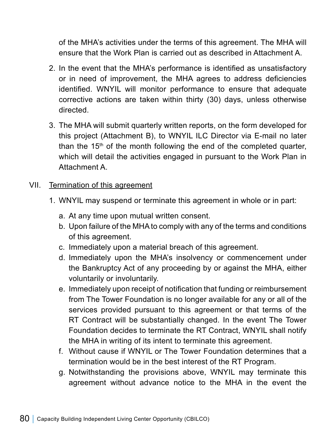of the MHA's activities under the terms of this agreement. The MHA will ensure that the Work Plan is carried out as described in Attachment A.

- 2. In the event that the MHA's performance is identified as unsatisfactory or in need of improvement, the MHA agrees to address deficiencies identified. WNYIL will monitor performance to ensure that adequate corrective actions are taken within thirty (30) days, unless otherwise directed.
- 3. The MHA will submit quarterly written reports, on the form developed for this project (Attachment B), to WNYIL ILC Director via E-mail no later than the 15<sup>th</sup> of the month following the end of the completed quarter, which will detail the activities engaged in pursuant to the Work Plan in Attachment A.

### VII. Termination of this agreement

- 1. WNYIL may suspend or terminate this agreement in whole or in part:
	- a. At any time upon mutual written consent.
	- b. Upon failure of the MHA to comply with any of the terms and conditions of this agreement.
	- c. Immediately upon a material breach of this agreement.
	- d. Immediately upon the MHA's insolvency or commencement under the Bankruptcy Act of any proceeding by or against the MHA, either voluntarily or involuntarily.
	- e. Immediately upon receipt of notification that funding or reimbursement from The Tower Foundation is no longer available for any or all of the services provided pursuant to this agreement or that terms of the RT Contract will be substantially changed. In the event The Tower Foundation decides to terminate the RT Contract, WNYIL shall notify the MHA in writing of its intent to terminate this agreement.
	- f. Without cause if WNYIL or The Tower Foundation determines that a termination would be in the best interest of the RT Program.
	- g. Notwithstanding the provisions above, WNYIL may terminate this agreement without advance notice to the MHA in the event the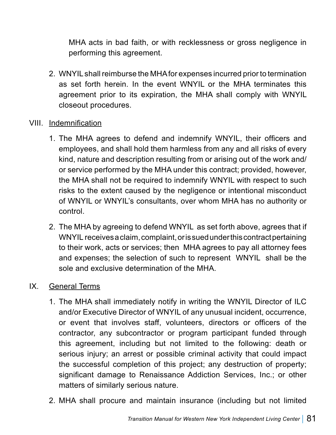MHA acts in bad faith, or with recklessness or gross negligence in performing this agreement.

- 2. WNYIL shall reimburse the MHA for expenses incurred prior to termination as set forth herein. In the event WNYIL or the MHA terminates this agreement prior to its expiration, the MHA shall comply with WNYIL closeout procedures.
- VIII. Indemnification
	- 1. The MHA agrees to defend and indemnify WNYIL, their officers and employees, and shall hold them harmless from any and all risks of every kind, nature and description resulting from or arising out of the work and/ or service performed by the MHA under this contract; provided, however, the MHA shall not be required to indemnify WNYIL with respect to such risks to the extent caused by the negligence or intentional misconduct of WNYIL or WNYIL's consultants, over whom MHA has no authority or control.
	- 2. The MHA by agreeing to defend WNYIL as set forth above, agrees that if WNYIL receives a claim, complaint, or is sued under this contract pertaining to their work, acts or services; then MHA agrees to pay all attorney fees and expenses; the selection of such to represent WNYIL shall be the sole and exclusive determination of the MHA.

#### IX. General Terms

- 1. The MHA shall immediately notify in writing the WNYIL Director of ILC and/or Executive Director of WNYIL of any unusual incident, occurrence, or event that involves staff, volunteers, directors or officers of the contractor, any subcontractor or program participant funded through this agreement, including but not limited to the following: death or serious injury; an arrest or possible criminal activity that could impact the successful completion of this project; any destruction of property; significant damage to Renaissance Addiction Services, Inc.; or other matters of similarly serious nature.
- 2. MHA shall procure and maintain insurance (including but not limited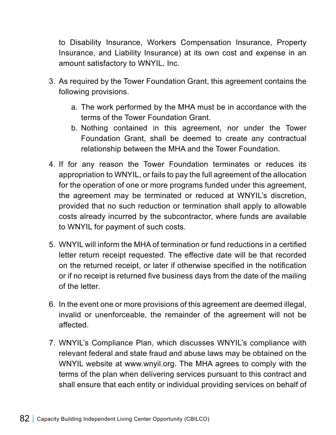to Disability Insurance, Workers Compensation Insurance, Property Insurance, and Liability Insurance) at its own cost and expense in an amount satisfactory to WNYIL, Inc.

- 3. As required by the Tower Foundation Grant, this agreement contains the following provisions.
	- a. The work performed by the MHA must be in accordance with the terms of the Tower Foundation Grant.
	- b. Nothing contained in this agreement, nor under the Tower Foundation Grant, shall be deemed to create any contractual relationship between the MHA and the Tower Foundation.
- 4. If for any reason the Tower Foundation terminates or reduces its appropriation to WNYIL, or fails to pay the full agreement of the allocation for the operation of one or more programs funded under this agreement, the agreement may be terminated or reduced at WNYIL's discretion, provided that no such reduction or termination shall apply to allowable costs already incurred by the subcontractor, where funds are available to WNYIL for payment of such costs.
- 5. WNYIL will inform the MHA of termination or fund reductions in a certified letter return receipt requested. The effective date will be that recorded on the returned receipt, or later if otherwise specified in the notification or if no receipt is returned five business days from the date of the mailing of the letter.
- 6. In the event one or more provisions of this agreement are deemed illegal, invalid or unenforceable, the remainder of the agreement will not be affected.
- 7. WNYIL's Compliance Plan, which discusses WNYIL's compliance with relevant federal and state fraud and abuse laws may be obtained on the WNYIL website at www.wnyil.org. The MHA agrees to comply with the terms of the plan when delivering services pursuant to this contract and shall ensure that each entity or individual providing services on behalf of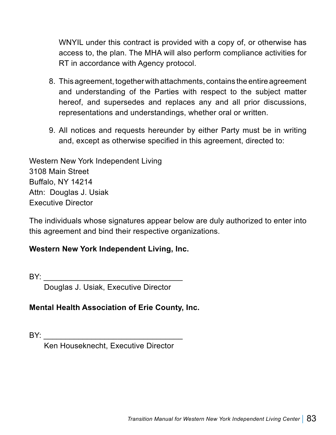WNYIL under this contract is provided with a copy of, or otherwise has access to, the plan. The MHA will also perform compliance activities for RT in accordance with Agency protocol.

- 8. This agreement, together with attachments, contains the entire agreement and understanding of the Parties with respect to the subject matter hereof, and supersedes and replaces any and all prior discussions, representations and understandings, whether oral or written.
- 9. All notices and requests hereunder by either Party must be in writing and, except as otherwise specified in this agreement, directed to:

Western New York Independent Living 3108 Main Street Buffalo, NY 14214 Attn: Douglas J. Usiak Executive Director

The individuals whose signatures appear below are duly authorized to enter into this agreement and bind their respective organizations.

### **Western New York Independent Living, Inc.**

BY: \_\_\_\_\_\_\_\_\_\_\_\_\_\_\_\_\_\_\_\_\_\_\_\_\_\_\_\_\_\_\_\_

Douglas J. Usiak, Executive Director

### **Mental Health Association of Erie County, Inc.**

BY: \_\_\_\_\_\_\_\_\_\_\_\_\_\_\_\_\_\_\_\_\_\_\_\_\_\_\_\_\_\_\_\_

Ken Houseknecht, Executive Director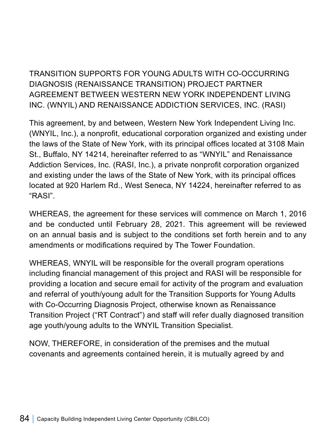TRANSITION SUPPORTS FOR YOUNG ADULTS WITH CO-OCCURRING DIAGNOSIS (RENAISSANCE TRANSITION) PROJECT PARTNER AGREEMENT BETWEEN WESTERN NEW YORK INDEPENDENT LIVING INC. (WNYIL) AND RENAISSANCE ADDICTION SERVICES, INC. (RASI)

This agreement, by and between, Western New York Independent Living Inc. (WNYIL, Inc.), a nonprofit, educational corporation organized and existing under the laws of the State of New York, with its principal offices located at 3108 Main St., Buffalo, NY 14214, hereinafter referred to as "WNYIL" and Renaissance Addiction Services, Inc. (RASI, Inc.), a private nonprofit corporation organized and existing under the laws of the State of New York, with its principal offices located at 920 Harlem Rd., West Seneca, NY 14224, hereinafter referred to as "RASI".

WHEREAS, the agreement for these services will commence on March 1, 2016 and be conducted until February 28, 2021. This agreement will be reviewed on an annual basis and is subject to the conditions set forth herein and to any amendments or modifications required by The Tower Foundation.

WHEREAS, WNYIL will be responsible for the overall program operations including financial management of this project and RASI will be responsible for providing a location and secure email for activity of the program and evaluation and referral of youth/young adult for the Transition Supports for Young Adults with Co-Occurring Diagnosis Project, otherwise known as Renaissance Transition Project ("RT Contract") and staff will refer dually diagnosed transition age youth/young adults to the WNYIL Transition Specialist.

NOW, THEREFORE, in consideration of the premises and the mutual covenants and agreements contained herein, it is mutually agreed by and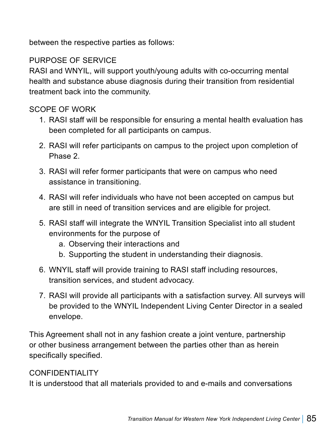between the respective parties as follows:

## PURPOSE OF SERVICE

RASI and WNYIL, will support youth/young adults with co-occurring mental health and substance abuse diagnosis during their transition from residential treatment back into the community.

## SCOPE OF WORK

- 1. RASI staff will be responsible for ensuring a mental health evaluation has been completed for all participants on campus.
- 2. RASI will refer participants on campus to the project upon completion of Phase 2.
- 3. RASI will refer former participants that were on campus who need assistance in transitioning.
- 4. RASI will refer individuals who have not been accepted on campus but are still in need of transition services and are eligible for project.
- 5. RASI staff will integrate the WNYIL Transition Specialist into all student environments for the purpose of
	- a. Observing their interactions and
	- b. Supporting the student in understanding their diagnosis.
- 6. WNYIL staff will provide training to RASI staff including resources, transition services, and student advocacy.
- 7. RASI will provide all participants with a satisfaction survey. All surveys will be provided to the WNYIL Independent Living Center Director in a sealed envelope.

This Agreement shall not in any fashion create a joint venture, partnership or other business arrangement between the parties other than as herein specifically specified.

### CONFIDENTIALITY

It is understood that all materials provided to and e-mails and conversations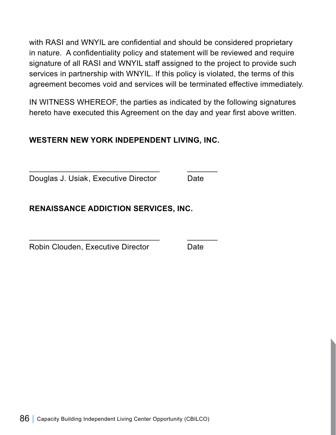with RASI and WNYIL are confidential and should be considered proprietary in nature. A confidentiality policy and statement will be reviewed and require signature of all RASI and WNYIL staff assigned to the project to provide such services in partnership with WNYIL. If this policy is violated, the terms of this agreement becomes void and services will be terminated effective immediately.

IN WITNESS WHEREOF, the parties as indicated by the following signatures hereto have executed this Agreement on the day and year first above written.

## **WESTERN NEW YORK INDEPENDENT LIVING, INC.**

\_\_\_\_\_\_\_\_\_\_\_\_\_\_\_\_\_\_\_\_\_\_\_\_\_\_\_\_\_\_ \_\_\_\_\_\_\_

\_\_\_\_\_\_\_\_\_\_\_\_\_\_\_\_\_\_\_\_\_\_\_\_\_\_\_\_\_\_ \_\_\_\_\_\_\_

Douglas J. Usiak, Executive Director Date

**RENAISSANCE ADDICTION SERVICES, INC.**

Robin Clouden, Executive Director Date